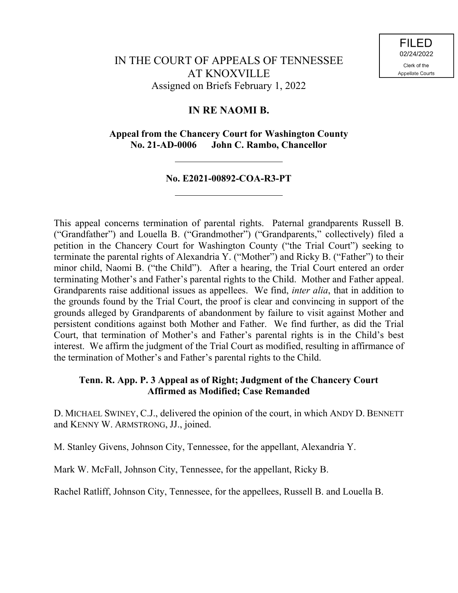# **IN RE NAOMI B.**

**Appeal from the Chancery Court for Washington County No. 21-AD-0006 John C. Rambo, Chancellor**

# **No. E2021-00892-COA-R3-PT**

This appeal concerns termination of parental rights. Paternal grandparents Russell B. ("Grandfather") and Louella B. ("Grandmother") ("Grandparents," collectively) filed a petition in the Chancery Court for Washington County ("the Trial Court") seeking to terminate the parental rights of Alexandria Y. ("Mother") and Ricky B. ("Father") to their minor child, Naomi B. ("the Child"). After a hearing, the Trial Court entered an order terminating Mother's and Father's parental rights to the Child. Mother and Father appeal. Grandparents raise additional issues as appellees. We find, *inter alia*, that in addition to the grounds found by the Trial Court, the proof is clear and convincing in support of the grounds alleged by Grandparents of abandonment by failure to visit against Mother and persistent conditions against both Mother and Father. We find further, as did the Trial Court, that termination of Mother's and Father's parental rights is in the Child's best interest. We affirm the judgment of the Trial Court as modified, resulting in affirmance of the termination of Mother's and Father's parental rights to the Child.

# **Tenn. R. App. P. 3 Appeal as of Right; Judgment of the Chancery Court Affirmed as Modified; Case Remanded**

D. MICHAEL SWINEY, C.J., delivered the opinion of the court, in which ANDY D. BENNETT and KENNY W. ARMSTRONG, JJ., joined.

M. Stanley Givens, Johnson City, Tennessee, for the appellant, Alexandria Y.

Mark W. McFall, Johnson City, Tennessee, for the appellant, Ricky B.

Rachel Ratliff, Johnson City, Tennessee, for the appellees, Russell B. and Louella B.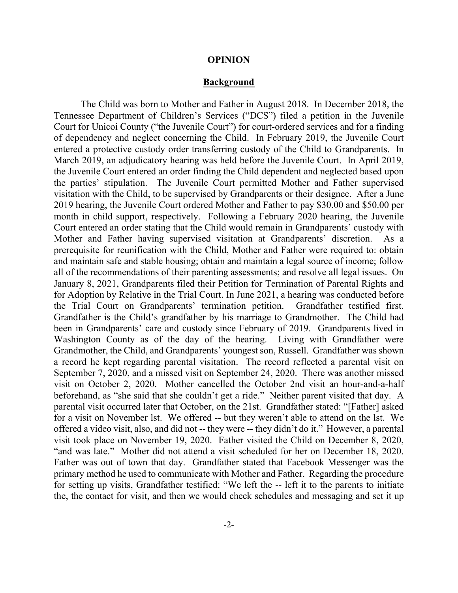#### **OPINION**

#### **Background**

The Child was born to Mother and Father in August 2018. In December 2018, the Tennessee Department of Children's Services ("DCS") filed a petition in the Juvenile Court for Unicoi County ("the Juvenile Court") for court-ordered services and for a finding of dependency and neglect concerning the Child. In February 2019, the Juvenile Court entered a protective custody order transferring custody of the Child to Grandparents. In March 2019, an adjudicatory hearing was held before the Juvenile Court. In April 2019, the Juvenile Court entered an order finding the Child dependent and neglected based upon the parties' stipulation. The Juvenile Court permitted Mother and Father supervised visitation with the Child, to be supervised by Grandparents or their designee. After a June 2019 hearing, the Juvenile Court ordered Mother and Father to pay \$30.00 and \$50.00 per month in child support, respectively. Following a February 2020 hearing, the Juvenile Court entered an order stating that the Child would remain in Grandparents' custody with Mother and Father having supervised visitation at Grandparents' discretion. As a prerequisite for reunification with the Child, Mother and Father were required to: obtain and maintain safe and stable housing; obtain and maintain a legal source of income; follow all of the recommendations of their parenting assessments; and resolve all legal issues. On January 8, 2021, Grandparents filed their Petition for Termination of Parental Rights and for Adoption by Relative in the Trial Court. In June 2021, a hearing was conducted before the Trial Court on Grandparents' termination petition. Grandfather testified first. Grandfather is the Child's grandfather by his marriage to Grandmother. The Child had been in Grandparents' care and custody since February of 2019. Grandparents lived in Washington County as of the day of the hearing. Living with Grandfather were Grandmother, the Child, and Grandparents' youngest son, Russell. Grandfather was shown a record he kept regarding parental visitation. The record reflected a parental visit on September 7, 2020, and a missed visit on September 24, 2020. There was another missed visit on October 2, 2020. Mother cancelled the October 2nd visit an hour-and-a-half beforehand, as "she said that she couldn't get a ride." Neither parent visited that day. A parental visit occurred later that October, on the 21st. Grandfather stated: "[Father] asked for a visit on November lst. We offered -- but they weren't able to attend on the lst. We offered a video visit, also, and did not -- they were -- they didn't do it." However, a parental visit took place on November 19, 2020. Father visited the Child on December 8, 2020, "and was late." Mother did not attend a visit scheduled for her on December 18, 2020. Father was out of town that day. Grandfather stated that Facebook Messenger was the primary method he used to communicate with Mother and Father. Regarding the procedure for setting up visits, Grandfather testified: "We left the -- left it to the parents to initiate the, the contact for visit, and then we would check schedules and messaging and set it up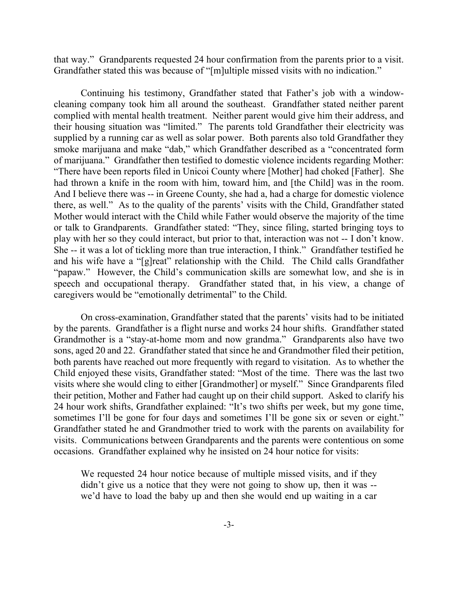that way." Grandparents requested 24 hour confirmation from the parents prior to a visit. Grandfather stated this was because of "[m]ultiple missed visits with no indication."

Continuing his testimony, Grandfather stated that Father's job with a windowcleaning company took him all around the southeast. Grandfather stated neither parent complied with mental health treatment. Neither parent would give him their address, and their housing situation was "limited." The parents told Grandfather their electricity was supplied by a running car as well as solar power. Both parents also told Grandfather they smoke marijuana and make "dab," which Grandfather described as a "concentrated form of marijuana." Grandfather then testified to domestic violence incidents regarding Mother: "There have been reports filed in Unicoi County where [Mother] had choked [Father]. She had thrown a knife in the room with him, toward him, and [the Child] was in the room. And I believe there was -- in Greene County, she had a, had a charge for domestic violence there, as well." As to the quality of the parents' visits with the Child, Grandfather stated Mother would interact with the Child while Father would observe the majority of the time or talk to Grandparents. Grandfather stated: "They, since filing, started bringing toys to play with her so they could interact, but prior to that, interaction was not -- I don't know. She -- it was a lot of tickling more than true interaction, I think." Grandfather testified he and his wife have a "[g]reat" relationship with the Child. The Child calls Grandfather "papaw." However, the Child's communication skills are somewhat low, and she is in speech and occupational therapy. Grandfather stated that, in his view, a change of caregivers would be "emotionally detrimental" to the Child.

On cross-examination, Grandfather stated that the parents' visits had to be initiated by the parents. Grandfather is a flight nurse and works 24 hour shifts. Grandfather stated Grandmother is a "stay-at-home mom and now grandma." Grandparents also have two sons, aged 20 and 22. Grandfather stated that since he and Grandmother filed their petition, both parents have reached out more frequently with regard to visitation. As to whether the Child enjoyed these visits, Grandfather stated: "Most of the time. There was the last two visits where she would cling to either [Grandmother] or myself." Since Grandparents filed their petition, Mother and Father had caught up on their child support. Asked to clarify his 24 hour work shifts, Grandfather explained: "It's two shifts per week, but my gone time, sometimes I'll be gone for four days and sometimes I'll be gone six or seven or eight." Grandfather stated he and Grandmother tried to work with the parents on availability for visits. Communications between Grandparents and the parents were contentious on some occasions. Grandfather explained why he insisted on 24 hour notice for visits:

We requested 24 hour notice because of multiple missed visits, and if they didn't give us a notice that they were not going to show up, then it was -we'd have to load the baby up and then she would end up waiting in a car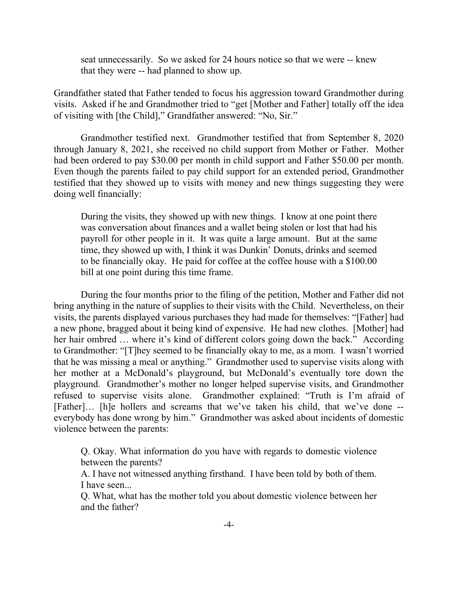seat unnecessarily. So we asked for 24 hours notice so that we were -- knew that they were -- had planned to show up.

Grandfather stated that Father tended to focus his aggression toward Grandmother during visits. Asked if he and Grandmother tried to "get [Mother and Father] totally off the idea of visiting with [the Child]," Grandfather answered: "No, Sir."

Grandmother testified next. Grandmother testified that from September 8, 2020 through January 8, 2021, she received no child support from Mother or Father. Mother had been ordered to pay \$30.00 per month in child support and Father \$50.00 per month. Even though the parents failed to pay child support for an extended period, Grandmother testified that they showed up to visits with money and new things suggesting they were doing well financially:

During the visits, they showed up with new things. I know at one point there was conversation about finances and a wallet being stolen or lost that had his payroll for other people in it. It was quite a large amount. But at the same time, they showed up with, I think it was Dunkin' Donuts, drinks and seemed to be financially okay. He paid for coffee at the coffee house with a \$100.00 bill at one point during this time frame.

During the four months prior to the filing of the petition, Mother and Father did not bring anything in the nature of supplies to their visits with the Child. Nevertheless, on their visits, the parents displayed various purchases they had made for themselves: "[Father] had a new phone, bragged about it being kind of expensive. He had new clothes. [Mother] had her hair ombred ... where it's kind of different colors going down the back." According to Grandmother: "[T]hey seemed to be financially okay to me, as a mom. I wasn't worried that he was missing a meal or anything." Grandmother used to supervise visits along with her mother at a McDonald's playground, but McDonald's eventually tore down the playground. Grandmother's mother no longer helped supervise visits, and Grandmother refused to supervise visits alone. Grandmother explained: "Truth is I'm afraid of [Father]… [h]e hollers and screams that we've taken his child, that we've done - everybody has done wrong by him." Grandmother was asked about incidents of domestic violence between the parents:

Q. Okay. What information do you have with regards to domestic violence between the parents?

A. I have not witnessed anything firsthand. I have been told by both of them. I have seen...

Q. What, what has the mother told you about domestic violence between her and the father?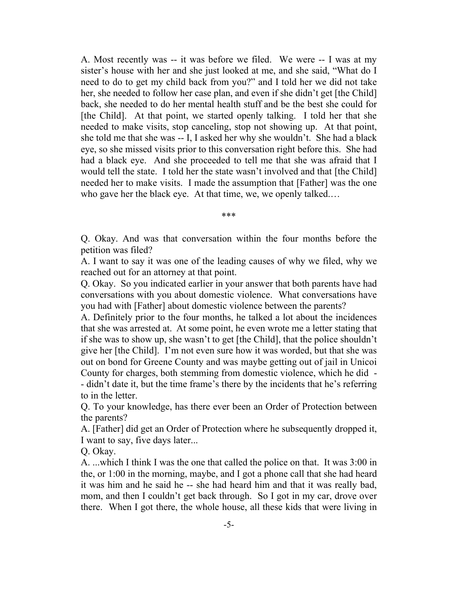A. Most recently was -- it was before we filed. We were -- I was at my sister's house with her and she just looked at me, and she said, "What do I need to do to get my child back from you?" and I told her we did not take her, she needed to follow her case plan, and even if she didn't get [the Child] back, she needed to do her mental health stuff and be the best she could for [the Child]. At that point, we started openly talking. I told her that she needed to make visits, stop canceling, stop not showing up. At that point, she told me that she was -- I, I asked her why she wouldn't. She had a black eye, so she missed visits prior to this conversation right before this. She had had a black eye. And she proceeded to tell me that she was afraid that I would tell the state. I told her the state wasn't involved and that [the Child] needed her to make visits. I made the assumption that [Father] was the one who gave her the black eye. At that time, we, we openly talked.…

\*\*\*

Q. Okay. And was that conversation within the four months before the petition was filed?

A. I want to say it was one of the leading causes of why we filed, why we reached out for an attorney at that point.

Q. Okay. So you indicated earlier in your answer that both parents have had conversations with you about domestic violence. What conversations have you had with [Father] about domestic violence between the parents?

A. Definitely prior to the four months, he talked a lot about the incidences that she was arrested at. At some point, he even wrote me a letter stating that if she was to show up, she wasn't to get [the Child], that the police shouldn't give her [the Child]. I'm not even sure how it was worded, but that she was out on bond for Greene County and was maybe getting out of jail in Unicoi County for charges, both stemming from domestic violence, which he did - - didn't date it, but the time frame's there by the incidents that he's referring to in the letter.

Q. To your knowledge, has there ever been an Order of Protection between the parents?

A. [Father] did get an Order of Protection where he subsequently dropped it, I want to say, five days later...

Q. Okay.

A. ...which I think I was the one that called the police on that. It was 3:00 in the, or 1:00 in the morning, maybe, and I got a phone call that she had heard it was him and he said he -- she had heard him and that it was really bad, mom, and then I couldn't get back through. So I got in my car, drove over there. When I got there, the whole house, all these kids that were living in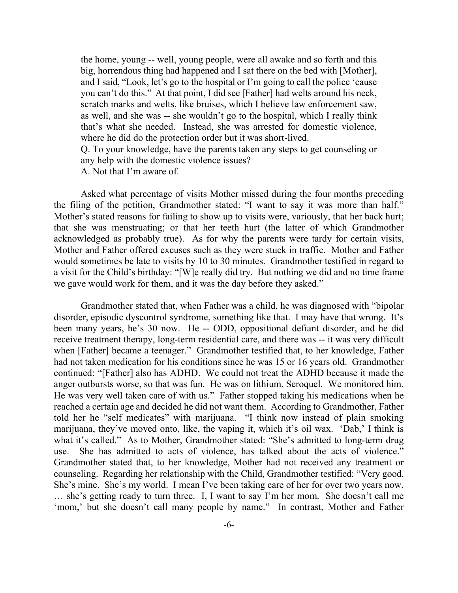the home, young -- well, young people, were all awake and so forth and this big, horrendous thing had happened and I sat there on the bed with [Mother], and I said, "Look, let's go to the hospital or I'm going to call the police 'cause you can't do this." At that point, I did see [Father] had welts around his neck, scratch marks and welts, like bruises, which I believe law enforcement saw, as well, and she was -- she wouldn't go to the hospital, which I really think that's what she needed. Instead, she was arrested for domestic violence, where he did do the protection order but it was short-lived.

Q. To your knowledge, have the parents taken any steps to get counseling or any help with the domestic violence issues?

A. Not that I'm aware of.

Asked what percentage of visits Mother missed during the four months preceding the filing of the petition, Grandmother stated: "I want to say it was more than half." Mother's stated reasons for failing to show up to visits were, variously, that her back hurt; that she was menstruating; or that her teeth hurt (the latter of which Grandmother acknowledged as probably true). As for why the parents were tardy for certain visits, Mother and Father offered excuses such as they were stuck in traffic. Mother and Father would sometimes be late to visits by 10 to 30 minutes. Grandmother testified in regard to a visit for the Child's birthday: "[W]e really did try. But nothing we did and no time frame we gave would work for them, and it was the day before they asked."

Grandmother stated that, when Father was a child, he was diagnosed with "bipolar disorder, episodic dyscontrol syndrome, something like that. I may have that wrong. It's been many years, he's 30 now. He -- ODD, oppositional defiant disorder, and he did receive treatment therapy, long-term residential care, and there was -- it was very difficult when [Father] became a teenager." Grandmother testified that, to her knowledge, Father had not taken medication for his conditions since he was 15 or 16 years old. Grandmother continued: "[Father] also has ADHD. We could not treat the ADHD because it made the anger outbursts worse, so that was fun. He was on lithium, Seroquel. We monitored him. He was very well taken care of with us." Father stopped taking his medications when he reached a certain age and decided he did not want them. According to Grandmother, Father told her he "self medicates" with marijuana. "I think now instead of plain smoking marijuana, they've moved onto, like, the vaping it, which it's oil wax. 'Dab,' I think is what it's called." As to Mother, Grandmother stated: "She's admitted to long-term drug use. She has admitted to acts of violence, has talked about the acts of violence." Grandmother stated that, to her knowledge, Mother had not received any treatment or counseling. Regarding her relationship with the Child, Grandmother testified: "Very good. She's mine. She's my world. I mean I've been taking care of her for over two years now. … she's getting ready to turn three. I, I want to say I'm her mom. She doesn't call me 'mom,' but she doesn't call many people by name." In contrast, Mother and Father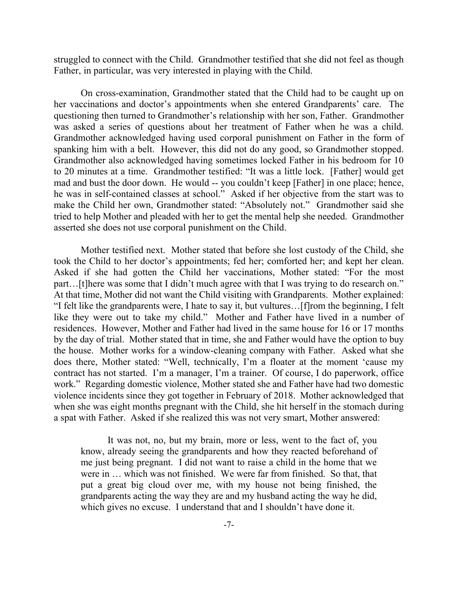struggled to connect with the Child. Grandmother testified that she did not feel as though Father, in particular, was very interested in playing with the Child.

On cross-examination, Grandmother stated that the Child had to be caught up on her vaccinations and doctor's appointments when she entered Grandparents' care. The questioning then turned to Grandmother's relationship with her son, Father. Grandmother was asked a series of questions about her treatment of Father when he was a child. Grandmother acknowledged having used corporal punishment on Father in the form of spanking him with a belt. However, this did not do any good, so Grandmother stopped. Grandmother also acknowledged having sometimes locked Father in his bedroom for 10 to 20 minutes at a time. Grandmother testified: "It was a little lock. [Father] would get mad and bust the door down. He would -- you couldn't keep [Father] in one place; hence, he was in self-contained classes at school." Asked if her objective from the start was to make the Child her own, Grandmother stated: "Absolutely not." Grandmother said she tried to help Mother and pleaded with her to get the mental help she needed. Grandmother asserted she does not use corporal punishment on the Child.

Mother testified next. Mother stated that before she lost custody of the Child, she took the Child to her doctor's appointments; fed her; comforted her; and kept her clean. Asked if she had gotten the Child her vaccinations, Mother stated: "For the most part…[t]here was some that I didn't much agree with that I was trying to do research on." At that time, Mother did not want the Child visiting with Grandparents. Mother explained: "I felt like the grandparents were, I hate to say it, but vultures…[f]rom the beginning, I felt like they were out to take my child." Mother and Father have lived in a number of residences. However, Mother and Father had lived in the same house for 16 or 17 months by the day of trial. Mother stated that in time, she and Father would have the option to buy the house. Mother works for a window-cleaning company with Father. Asked what she does there, Mother stated: "Well, technically, I'm a floater at the moment 'cause my contract has not started. I'm a manager, I'm a trainer. Of course, I do paperwork, office work." Regarding domestic violence, Mother stated she and Father have had two domestic violence incidents since they got together in February of 2018. Mother acknowledged that when she was eight months pregnant with the Child, she hit herself in the stomach during a spat with Father. Asked if she realized this was not very smart, Mother answered:

It was not, no, but my brain, more or less, went to the fact of, you know, already seeing the grandparents and how they reacted beforehand of me just being pregnant. I did not want to raise a child in the home that we were in … which was not finished. We were far from finished. So that, that put a great big cloud over me, with my house not being finished, the grandparents acting the way they are and my husband acting the way he did, which gives no excuse. I understand that and I shouldn't have done it.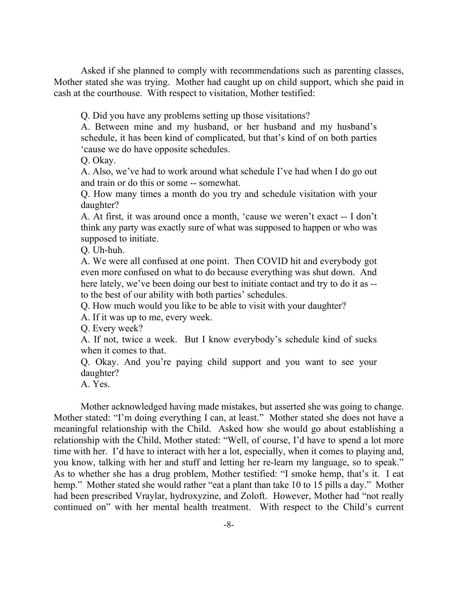Asked if she planned to comply with recommendations such as parenting classes, Mother stated she was trying. Mother had caught up on child support, which she paid in cash at the courthouse. With respect to visitation, Mother testified:

Q. Did you have any problems setting up those visitations?

A. Between mine and my husband, or her husband and my husband's schedule, it has been kind of complicated, but that's kind of on both parties 'cause we do have opposite schedules.

Q. Okay.

A. Also, we've had to work around what schedule I've had when I do go out and train or do this or some -- somewhat.

Q. How many times a month do you try and schedule visitation with your daughter?

A. At first, it was around once a month, 'cause we weren't exact -- I don't think any party was exactly sure of what was supposed to happen or who was supposed to initiate.

Q. Uh-huh.

A. We were all confused at one point. Then COVID hit and everybody got even more confused on what to do because everything was shut down. And here lately, we've been doing our best to initiate contact and try to do it as -to the best of our ability with both parties' schedules.

Q. How much would you like to be able to visit with your daughter?

A. If it was up to me, every week.

Q. Every week?

A. If not, twice a week. But I know everybody's schedule kind of sucks when it comes to that.

Q. Okay. And you're paying child support and you want to see your daughter?

A. Yes.

Mother acknowledged having made mistakes, but asserted she was going to change. Mother stated: "I'm doing everything I can, at least." Mother stated she does not have a meaningful relationship with the Child. Asked how she would go about establishing a relationship with the Child, Mother stated: "Well, of course, I'd have to spend a lot more time with her. I'd have to interact with her a lot, especially, when it comes to playing and, you know, talking with her and stuff and letting her re-learn my language, so to speak." As to whether she has a drug problem, Mother testified: "I smoke hemp, that's it. I eat hemp." Mother stated she would rather "eat a plant than take 10 to 15 pills a day." Mother had been prescribed Vraylar, hydroxyzine, and Zoloft. However, Mother had "not really continued on" with her mental health treatment. With respect to the Child's current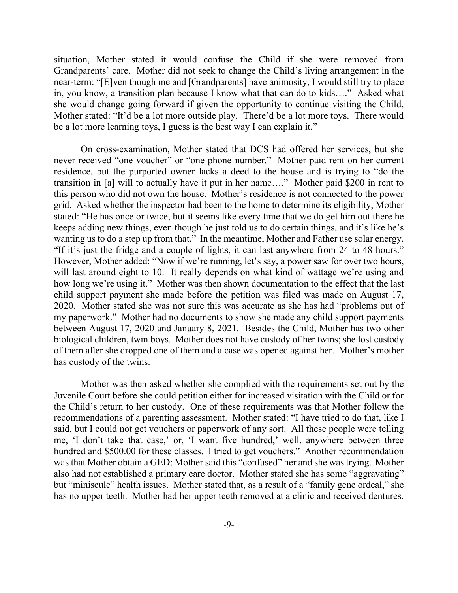situation, Mother stated it would confuse the Child if she were removed from Grandparents' care. Mother did not seek to change the Child's living arrangement in the near-term: "[E]ven though me and [Grandparents] have animosity, I would still try to place in, you know, a transition plan because I know what that can do to kids…." Asked what she would change going forward if given the opportunity to continue visiting the Child, Mother stated: "It'd be a lot more outside play. There'd be a lot more toys. There would be a lot more learning toys, I guess is the best way I can explain it."

On cross-examination, Mother stated that DCS had offered her services, but she never received "one voucher" or "one phone number." Mother paid rent on her current residence, but the purported owner lacks a deed to the house and is trying to "do the transition in [a] will to actually have it put in her name…." Mother paid \$200 in rent to this person who did not own the house. Mother's residence is not connected to the power grid. Asked whether the inspector had been to the home to determine its eligibility, Mother stated: "He has once or twice, but it seems like every time that we do get him out there he keeps adding new things, even though he just told us to do certain things, and it's like he's wanting us to do a step up from that." In the meantime, Mother and Father use solar energy. "If it's just the fridge and a couple of lights, it can last anywhere from 24 to 48 hours." However, Mother added: "Now if we're running, let's say, a power saw for over two hours, will last around eight to 10. It really depends on what kind of wattage we're using and how long we're using it." Mother was then shown documentation to the effect that the last child support payment she made before the petition was filed was made on August 17, 2020. Mother stated she was not sure this was accurate as she has had "problems out of my paperwork." Mother had no documents to show she made any child support payments between August 17, 2020 and January 8, 2021. Besides the Child, Mother has two other biological children, twin boys. Mother does not have custody of her twins; she lost custody of them after she dropped one of them and a case was opened against her. Mother's mother has custody of the twins.

Mother was then asked whether she complied with the requirements set out by the Juvenile Court before she could petition either for increased visitation with the Child or for the Child's return to her custody. One of these requirements was that Mother follow the recommendations of a parenting assessment. Mother stated: "I have tried to do that, like I said, but I could not get vouchers or paperwork of any sort. All these people were telling me, 'I don't take that case,' or, 'I want five hundred,' well, anywhere between three hundred and \$500.00 for these classes. I tried to get vouchers." Another recommendation was that Mother obtain a GED; Mother said this "confused" her and she was trying. Mother also had not established a primary care doctor. Mother stated she has some "aggravating" but "miniscule" health issues. Mother stated that, as a result of a "family gene ordeal," she has no upper teeth. Mother had her upper teeth removed at a clinic and received dentures.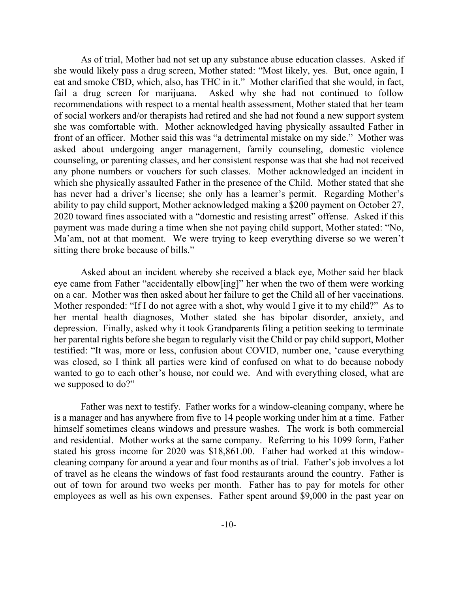As of trial, Mother had not set up any substance abuse education classes. Asked if she would likely pass a drug screen, Mother stated: "Most likely, yes. But, once again, I eat and smoke CBD, which, also, has THC in it." Mother clarified that she would, in fact, fail a drug screen for marijuana. Asked why she had not continued to follow recommendations with respect to a mental health assessment, Mother stated that her team of social workers and/or therapists had retired and she had not found a new support system she was comfortable with. Mother acknowledged having physically assaulted Father in front of an officer. Mother said this was "a detrimental mistake on my side." Mother was asked about undergoing anger management, family counseling, domestic violence counseling, or parenting classes, and her consistent response was that she had not received any phone numbers or vouchers for such classes. Mother acknowledged an incident in which she physically assaulted Father in the presence of the Child. Mother stated that she has never had a driver's license; she only has a learner's permit. Regarding Mother's ability to pay child support, Mother acknowledged making a \$200 payment on October 27, 2020 toward fines associated with a "domestic and resisting arrest" offense. Asked if this payment was made during a time when she not paying child support, Mother stated: "No, Ma'am, not at that moment. We were trying to keep everything diverse so we weren't sitting there broke because of bills."

Asked about an incident whereby she received a black eye, Mother said her black eye came from Father "accidentally elbow[ing]" her when the two of them were working on a car. Mother was then asked about her failure to get the Child all of her vaccinations. Mother responded: "If I do not agree with a shot, why would I give it to my child?" As to her mental health diagnoses, Mother stated she has bipolar disorder, anxiety, and depression. Finally, asked why it took Grandparents filing a petition seeking to terminate her parental rights before she began to regularly visit the Child or pay child support, Mother testified: "It was, more or less, confusion about COVID, number one, 'cause everything was closed, so I think all parties were kind of confused on what to do because nobody wanted to go to each other's house, nor could we. And with everything closed, what are we supposed to do?"

Father was next to testify. Father works for a window-cleaning company, where he is a manager and has anywhere from five to 14 people working under him at a time. Father himself sometimes cleans windows and pressure washes. The work is both commercial and residential. Mother works at the same company. Referring to his 1099 form, Father stated his gross income for 2020 was \$18,861.00. Father had worked at this windowcleaning company for around a year and four months as of trial. Father's job involves a lot of travel as he cleans the windows of fast food restaurants around the country. Father is out of town for around two weeks per month. Father has to pay for motels for other employees as well as his own expenses. Father spent around \$9,000 in the past year on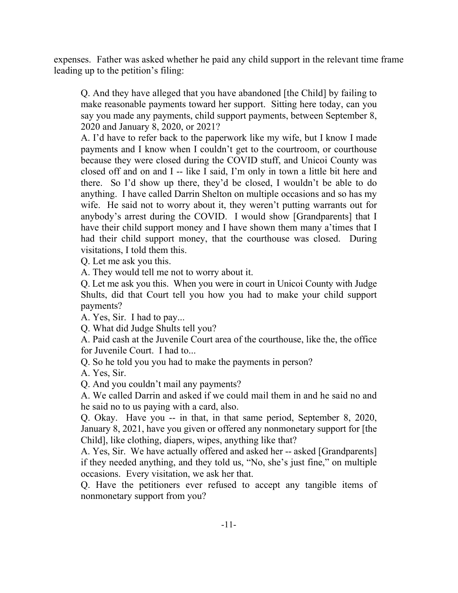expenses. Father was asked whether he paid any child support in the relevant time frame leading up to the petition's filing:

Q. And they have alleged that you have abandoned [the Child] by failing to make reasonable payments toward her support. Sitting here today, can you say you made any payments, child support payments, between September 8, 2020 and January 8, 2020, or 2021?

A. I'd have to refer back to the paperwork like my wife, but I know I made payments and I know when I couldn't get to the courtroom, or courthouse because they were closed during the COVID stuff, and Unicoi County was closed off and on and I -- like I said, I'm only in town a little bit here and there. So I'd show up there, they'd be closed, I wouldn't be able to do anything. I have called Darrin Shelton on multiple occasions and so has my wife. He said not to worry about it, they weren't putting warrants out for anybody's arrest during the COVID. I would show [Grandparents] that I have their child support money and I have shown them many a'times that I had their child support money, that the courthouse was closed. During visitations, I told them this.

Q. Let me ask you this.

A. They would tell me not to worry about it.

Q. Let me ask you this. When you were in court in Unicoi County with Judge Shults, did that Court tell you how you had to make your child support payments?

A. Yes, Sir. I had to pay...

Q. What did Judge Shults tell you?

A. Paid cash at the Juvenile Court area of the courthouse, like the, the office for Juvenile Court. I had to...

Q. So he told you you had to make the payments in person?

A. Yes, Sir.

Q. And you couldn't mail any payments?

A. We called Darrin and asked if we could mail them in and he said no and he said no to us paying with a card, also.

Q. Okay. Have you -- in that, in that same period, September 8, 2020, January 8, 2021, have you given or offered any nonmonetary support for [the Child], like clothing, diapers, wipes, anything like that?

A. Yes, Sir. We have actually offered and asked her -- asked [Grandparents] if they needed anything, and they told us, "No, she's just fine," on multiple occasions. Every visitation, we ask her that.

Q. Have the petitioners ever refused to accept any tangible items of nonmonetary support from you?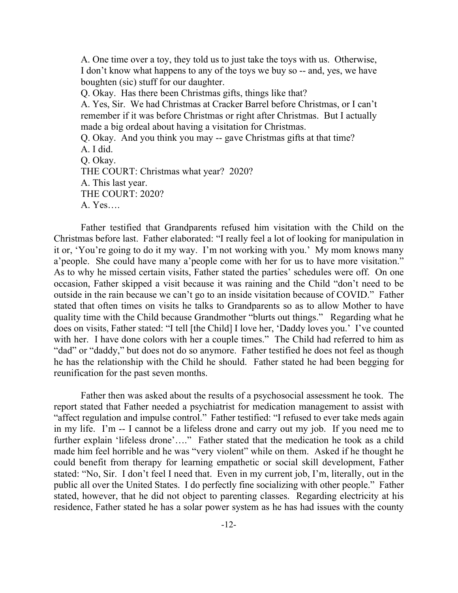A. One time over a toy, they told us to just take the toys with us. Otherwise, I don't know what happens to any of the toys we buy so -- and, yes, we have boughten (sic) stuff for our daughter.

Q. Okay. Has there been Christmas gifts, things like that?

A. Yes, Sir. We had Christmas at Cracker Barrel before Christmas, or I can't remember if it was before Christmas or right after Christmas. But I actually made a big ordeal about having a visitation for Christmas.

Q. Okay. And you think you may -- gave Christmas gifts at that time? A. I did. Q. Okay. THE COURT: Christmas what year? 2020? A. This last year. THE COURT: 2020? A. Yes….

Father testified that Grandparents refused him visitation with the Child on the Christmas before last. Father elaborated: "I really feel a lot of looking for manipulation in it or, 'You're going to do it my way. I'm not working with you.' My mom knows many a'people. She could have many a'people come with her for us to have more visitation." As to why he missed certain visits, Father stated the parties' schedules were off. On one occasion, Father skipped a visit because it was raining and the Child "don't need to be outside in the rain because we can't go to an inside visitation because of COVID." Father stated that often times on visits he talks to Grandparents so as to allow Mother to have quality time with the Child because Grandmother "blurts out things." Regarding what he does on visits, Father stated: "I tell [the Child] I love her, 'Daddy loves you.' I've counted with her. I have done colors with her a couple times." The Child had referred to him as "dad" or "daddy," but does not do so anymore. Father testified he does not feel as though he has the relationship with the Child he should. Father stated he had been begging for reunification for the past seven months.

Father then was asked about the results of a psychosocial assessment he took. The report stated that Father needed a psychiatrist for medication management to assist with "affect regulation and impulse control." Father testified: "I refused to ever take meds again in my life. I'm -- I cannot be a lifeless drone and carry out my job. If you need me to further explain 'lifeless drone'...." Father stated that the medication he took as a child made him feel horrible and he was "very violent" while on them. Asked if he thought he could benefit from therapy for learning empathetic or social skill development, Father stated: "No, Sir. I don't feel I need that. Even in my current job, I'm, literally, out in the public all over the United States. I do perfectly fine socializing with other people." Father stated, however, that he did not object to parenting classes. Regarding electricity at his residence, Father stated he has a solar power system as he has had issues with the county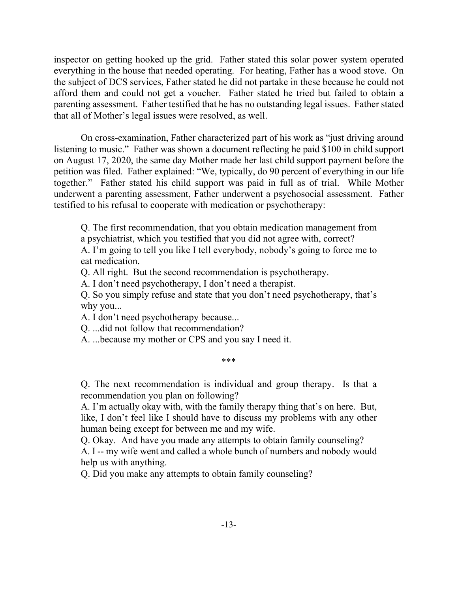inspector on getting hooked up the grid. Father stated this solar power system operated everything in the house that needed operating. For heating, Father has a wood stove. On the subject of DCS services, Father stated he did not partake in these because he could not afford them and could not get a voucher. Father stated he tried but failed to obtain a parenting assessment. Father testified that he has no outstanding legal issues. Father stated that all of Mother's legal issues were resolved, as well.

On cross-examination, Father characterized part of his work as "just driving around listening to music." Father was shown a document reflecting he paid \$100 in child support on August 17, 2020, the same day Mother made her last child support payment before the petition was filed. Father explained: "We, typically, do 90 percent of everything in our life together." Father stated his child support was paid in full as of trial. While Mother underwent a parenting assessment, Father underwent a psychosocial assessment. Father testified to his refusal to cooperate with medication or psychotherapy:

Q. The first recommendation, that you obtain medication management from a psychiatrist, which you testified that you did not agree with, correct?

A. I'm going to tell you like I tell everybody, nobody's going to force me to eat medication.

Q. All right. But the second recommendation is psychotherapy.

A. I don't need psychotherapy, I don't need a therapist.

Q. So you simply refuse and state that you don't need psychotherapy, that's why you...

A. I don't need psychotherapy because...

Q. ...did not follow that recommendation?

A. ...because my mother or CPS and you say I need it.

\*\*\*

Q. The next recommendation is individual and group therapy. Is that a recommendation you plan on following?

A. I'm actually okay with, with the family therapy thing that's on here. But, like, I don't feel like I should have to discuss my problems with any other human being except for between me and my wife.

Q. Okay. And have you made any attempts to obtain family counseling? A. I -- my wife went and called a whole bunch of numbers and nobody would help us with anything.

Q. Did you make any attempts to obtain family counseling?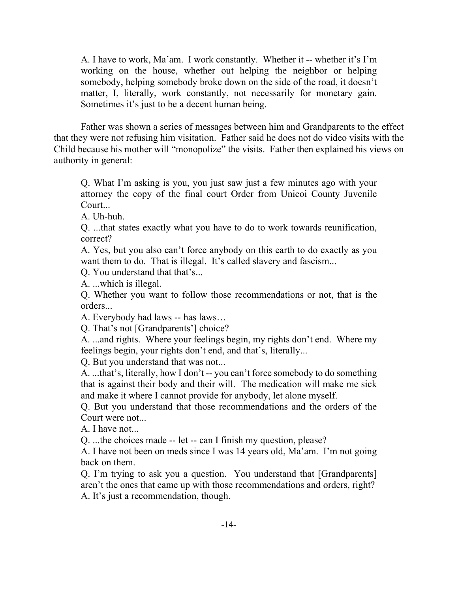A. I have to work, Ma'am. I work constantly. Whether it -- whether it's I'm working on the house, whether out helping the neighbor or helping somebody, helping somebody broke down on the side of the road, it doesn't matter, I, literally, work constantly, not necessarily for monetary gain. Sometimes it's just to be a decent human being.

Father was shown a series of messages between him and Grandparents to the effect that they were not refusing him visitation. Father said he does not do video visits with the Child because his mother will "monopolize" the visits. Father then explained his views on authority in general:

Q. What I'm asking is you, you just saw just a few minutes ago with your attorney the copy of the final court Order from Unicoi County Juvenile Court...

A. Uh-huh.

Q. ...that states exactly what you have to do to work towards reunification, correct?

A. Yes, but you also can't force anybody on this earth to do exactly as you want them to do. That is illegal. It's called slavery and fascism...

Q. You understand that that's...

A. ...which is illegal.

Q. Whether you want to follow those recommendations or not, that is the orders...

A. Everybody had laws -- has laws…

Q. That's not [Grandparents'] choice?

A. ...and rights. Where your feelings begin, my rights don't end. Where my feelings begin, your rights don't end, and that's, literally...

Q. But you understand that was not...

A. ...that's, literally, how I don't -- you can't force somebody to do something that is against their body and their will. The medication will make me sick and make it where I cannot provide for anybody, let alone myself.

Q. But you understand that those recommendations and the orders of the Court were not...

A. I have not...

Q. ...the choices made -- let -- can I finish my question, please?

A. I have not been on meds since I was 14 years old, Ma'am. I'm not going back on them.

Q. I'm trying to ask you a question. You understand that [Grandparents] aren't the ones that came up with those recommendations and orders, right? A. It's just a recommendation, though.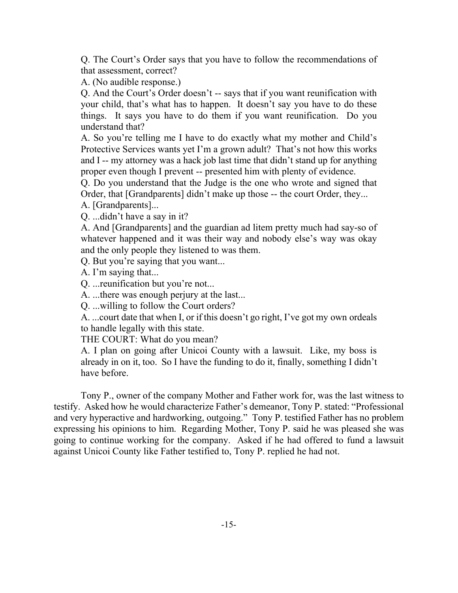Q. The Court's Order says that you have to follow the recommendations of that assessment, correct?

A. (No audible response.)

Q. And the Court's Order doesn't -- says that if you want reunification with your child, that's what has to happen. It doesn't say you have to do these things. It says you have to do them if you want reunification. Do you understand that?

A. So you're telling me I have to do exactly what my mother and Child's Protective Services wants yet I'm a grown adult? That's not how this works and I -- my attorney was a hack job last time that didn't stand up for anything proper even though I prevent -- presented him with plenty of evidence.

Q. Do you understand that the Judge is the one who wrote and signed that Order, that [Grandparents] didn't make up those -- the court Order, they...

A. [Grandparents]...

Q. ...didn't have a say in it?

A. And [Grandparents] and the guardian ad litem pretty much had say-so of whatever happened and it was their way and nobody else's way was okay and the only people they listened to was them.

Q. But you're saying that you want...

A. I'm saying that...

Q. ...reunification but you're not...

A. ...there was enough perjury at the last...

Q. ...willing to follow the Court orders?

A. ...court date that when I, or if this doesn't go right, I've got my own ordeals to handle legally with this state.

THE COURT: What do you mean?

A. I plan on going after Unicoi County with a lawsuit. Like, my boss is already in on it, too. So I have the funding to do it, finally, something I didn't have before.

Tony P., owner of the company Mother and Father work for, was the last witness to testify. Asked how he would characterize Father's demeanor, Tony P. stated: "Professional and very hyperactive and hardworking, outgoing." Tony P. testified Father has no problem expressing his opinions to him. Regarding Mother, Tony P. said he was pleased she was going to continue working for the company. Asked if he had offered to fund a lawsuit against Unicoi County like Father testified to, Tony P. replied he had not.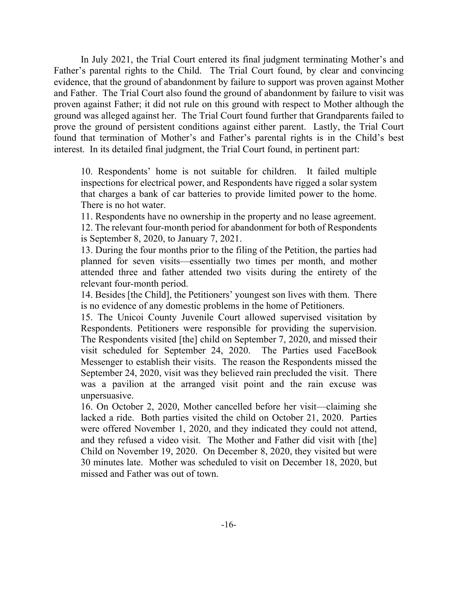In July 2021, the Trial Court entered its final judgment terminating Mother's and Father's parental rights to the Child. The Trial Court found, by clear and convincing evidence, that the ground of abandonment by failure to support was proven against Mother and Father. The Trial Court also found the ground of abandonment by failure to visit was proven against Father; it did not rule on this ground with respect to Mother although the ground was alleged against her. The Trial Court found further that Grandparents failed to prove the ground of persistent conditions against either parent. Lastly, the Trial Court found that termination of Mother's and Father's parental rights is in the Child's best interest. In its detailed final judgment, the Trial Court found, in pertinent part:

10. Respondents' home is not suitable for children. It failed multiple inspections for electrical power, and Respondents have rigged a solar system that charges a bank of car batteries to provide limited power to the home. There is no hot water.

11. Respondents have no ownership in the property and no lease agreement. 12. The relevant four-month period for abandonment for both of Respondents is September 8, 2020, to January 7, 2021.

13. During the four months prior to the filing of the Petition, the parties had planned for seven visits—essentially two times per month, and mother attended three and father attended two visits during the entirety of the relevant four-month period.

14. Besides [the Child], the Petitioners' youngest son lives with them. There is no evidence of any domestic problems in the home of Petitioners.

15. The Unicoi County Juvenile Court allowed supervised visitation by Respondents. Petitioners were responsible for providing the supervision. The Respondents visited [the] child on September 7, 2020, and missed their visit scheduled for September 24, 2020. The Parties used FaceBook Messenger to establish their visits. The reason the Respondents missed the September 24, 2020, visit was they believed rain precluded the visit. There was a pavilion at the arranged visit point and the rain excuse was unpersuasive.

16. On October 2, 2020, Mother cancelled before her visit—claiming she lacked a ride. Both parties visited the child on October 21, 2020. Parties were offered November 1, 2020, and they indicated they could not attend, and they refused a video visit. The Mother and Father did visit with [the] Child on November 19, 2020. On December 8, 2020, they visited but were 30 minutes late. Mother was scheduled to visit on December 18, 2020, but missed and Father was out of town.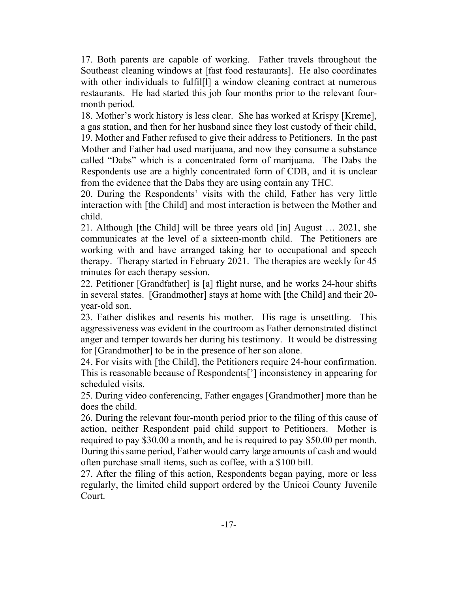17. Both parents are capable of working. Father travels throughout the Southeast cleaning windows at [fast food restaurants]. He also coordinates with other individuals to fulfil<sup>[1]</sup> a window cleaning contract at numerous restaurants. He had started this job four months prior to the relevant fourmonth period.

18. Mother's work history is less clear. She has worked at Krispy [Kreme], a gas station, and then for her husband since they lost custody of their child, 19. Mother and Father refused to give their address to Petitioners. In the past Mother and Father had used marijuana, and now they consume a substance called "Dabs" which is a concentrated form of marijuana. The Dabs the Respondents use are a highly concentrated form of CDB, and it is unclear from the evidence that the Dabs they are using contain any THC.

20. During the Respondents' visits with the child, Father has very little interaction with [the Child] and most interaction is between the Mother and child.

21. Although [the Child] will be three years old [in] August … 2021, she communicates at the level of a sixteen-month child. The Petitioners are working with and have arranged taking her to occupational and speech therapy. Therapy started in February 2021. The therapies are weekly for 45 minutes for each therapy session.

22. Petitioner [Grandfather] is [a] flight nurse, and he works 24-hour shifts in several states. [Grandmother] stays at home with [the Child] and their 20 year-old son.

23. Father dislikes and resents his mother. His rage is unsettling. This aggressiveness was evident in the courtroom as Father demonstrated distinct anger and temper towards her during his testimony. It would be distressing for [Grandmother] to be in the presence of her son alone.

24. For visits with [the Child], the Petitioners require 24-hour confirmation. This is reasonable because of Respondents['] inconsistency in appearing for scheduled visits.

25. During video conferencing, Father engages [Grandmother] more than he does the child.

26. During the relevant four-month period prior to the filing of this cause of action, neither Respondent paid child support to Petitioners. Mother is required to pay \$30.00 a month, and he is required to pay \$50.00 per month. During this same period, Father would carry large amounts of cash and would often purchase small items, such as coffee, with a \$100 bill.

27. After the filing of this action, Respondents began paying, more or less regularly, the limited child support ordered by the Unicoi County Juvenile Court.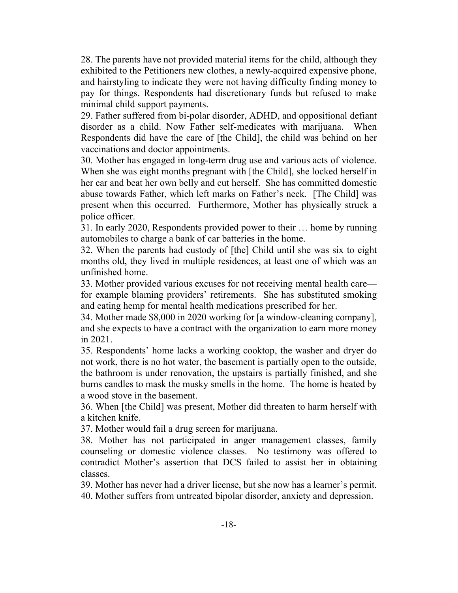28. The parents have not provided material items for the child, although they exhibited to the Petitioners new clothes, a newly-acquired expensive phone, and hairstyling to indicate they were not having difficulty finding money to pay for things. Respondents had discretionary funds but refused to make minimal child support payments.

29. Father suffered from bi-polar disorder, ADHD, and oppositional defiant disorder as a child. Now Father self-medicates with marijuana. When Respondents did have the care of [the Child], the child was behind on her vaccinations and doctor appointments.

30. Mother has engaged in long-term drug use and various acts of violence. When she was eight months pregnant with [the Child], she locked herself in her car and beat her own belly and cut herself. She has committed domestic abuse towards Father, which left marks on Father's neck. [The Child] was present when this occurred. Furthermore, Mother has physically struck a police officer.

31. In early 2020, Respondents provided power to their … home by running automobiles to charge a bank of car batteries in the home.

32. When the parents had custody of [the] Child until she was six to eight months old, they lived in multiple residences, at least one of which was an unfinished home.

33. Mother provided various excuses for not receiving mental health care for example blaming providers' retirements. She has substituted smoking and eating hemp for mental health medications prescribed for her.

34. Mother made \$8,000 in 2020 working for [a window-cleaning company], and she expects to have a contract with the organization to earn more money in 2021.

35. Respondents' home lacks a working cooktop, the washer and dryer do not work, there is no hot water, the basement is partially open to the outside, the bathroom is under renovation, the upstairs is partially finished, and she burns candles to mask the musky smells in the home. The home is heated by a wood stove in the basement.

36. When [the Child] was present, Mother did threaten to harm herself with a kitchen knife.

37. Mother would fail a drug screen for marijuana.

38. Mother has not participated in anger management classes, family counseling or domestic violence classes. No testimony was offered to contradict Mother's assertion that DCS failed to assist her in obtaining classes.

39. Mother has never had a driver license, but she now has a learner's permit. 40. Mother suffers from untreated bipolar disorder, anxiety and depression.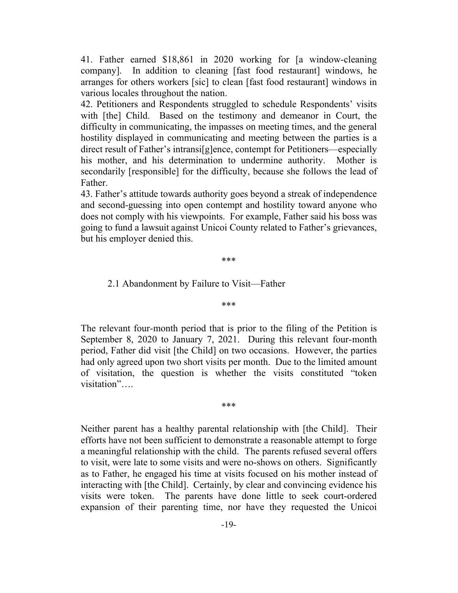41. Father earned \$18,861 in 2020 working for [a window-cleaning company]. In addition to cleaning [fast food restaurant] windows, he arranges for others workers [sic] to clean [fast food restaurant] windows in various locales throughout the nation.

42. Petitioners and Respondents struggled to schedule Respondents' visits with [the] Child. Based on the testimony and demeanor in Court, the difficulty in communicating, the impasses on meeting times, and the general hostility displayed in communicating and meeting between the parties is a direct result of Father's intransi[g]ence, contempt for Petitioners—especially his mother, and his determination to undermine authority. Mother is secondarily [responsible] for the difficulty, because she follows the lead of Father.

43. Father's attitude towards authority goes beyond a streak of independence and second-guessing into open contempt and hostility toward anyone who does not comply with his viewpoints. For example, Father said his boss was going to fund a lawsuit against Unicoi County related to Father's grievances, but his employer denied this.

\*\*\*

#### 2.1 Abandonment by Failure to Visit—Father

\*\*\*

The relevant four-month period that is prior to the filing of the Petition is September 8, 2020 to January 7, 2021. During this relevant four-month period, Father did visit [the Child] on two occasions. However, the parties had only agreed upon two short visits per month. Due to the limited amount of visitation, the question is whether the visits constituted "token visitation"….

\*\*\*

Neither parent has a healthy parental relationship with [the Child]. Their efforts have not been sufficient to demonstrate a reasonable attempt to forge a meaningful relationship with the child. The parents refused several offers to visit, were late to some visits and were no-shows on others. Significantly as to Father, he engaged his time at visits focused on his mother instead of interacting with [the Child]. Certainly, by clear and convincing evidence his visits were token. The parents have done little to seek court-ordered expansion of their parenting time, nor have they requested the Unicoi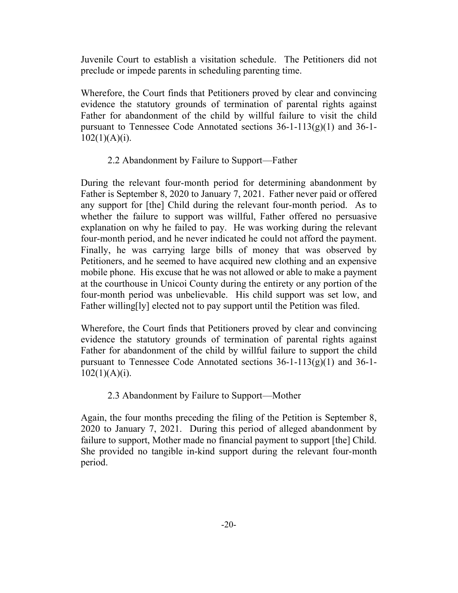Juvenile Court to establish a visitation schedule. The Petitioners did not preclude or impede parents in scheduling parenting time.

Wherefore, the Court finds that Petitioners proved by clear and convincing evidence the statutory grounds of termination of parental rights against Father for abandonment of the child by willful failure to visit the child pursuant to Tennessee Code Annotated sections  $36-1-113(g)(1)$  and  $36-1 102(1)(A)(i)$ .

### 2.2 Abandonment by Failure to Support—Father

During the relevant four-month period for determining abandonment by Father is September 8, 2020 to January 7, 2021. Father never paid or offered any support for [the] Child during the relevant four-month period. As to whether the failure to support was willful, Father offered no persuasive explanation on why he failed to pay. He was working during the relevant four-month period, and he never indicated he could not afford the payment. Finally, he was carrying large bills of money that was observed by Petitioners, and he seemed to have acquired new clothing and an expensive mobile phone. His excuse that he was not allowed or able to make a payment at the courthouse in Unicoi County during the entirety or any portion of the four-month period was unbelievable. His child support was set low, and Father willing[ly] elected not to pay support until the Petition was filed.

Wherefore, the Court finds that Petitioners proved by clear and convincing evidence the statutory grounds of termination of parental rights against Father for abandonment of the child by willful failure to support the child pursuant to Tennessee Code Annotated sections  $36-1-113(g)(1)$  and  $36-1 102(1)(A)(i)$ .

### 2.3 Abandonment by Failure to Support—Mother

Again, the four months preceding the filing of the Petition is September 8, 2020 to January 7, 2021. During this period of alleged abandonment by failure to support, Mother made no financial payment to support [the] Child. She provided no tangible in-kind support during the relevant four-month period.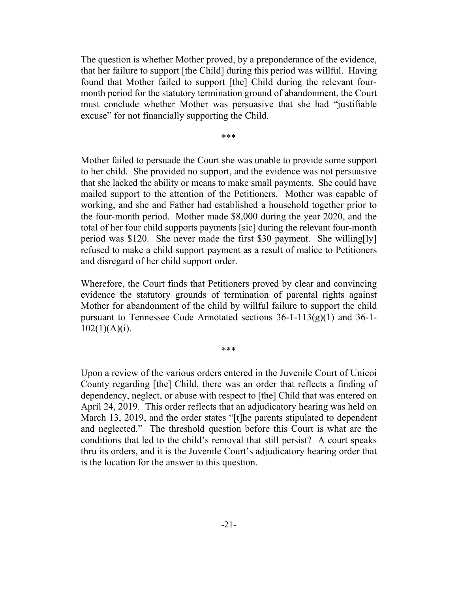The question is whether Mother proved, by a preponderance of the evidence, that her failure to support [the Child] during this period was willful. Having found that Mother failed to support [the] Child during the relevant fourmonth period for the statutory termination ground of abandonment, the Court must conclude whether Mother was persuasive that she had "justifiable excuse" for not financially supporting the Child.

\*\*\*

Mother failed to persuade the Court she was unable to provide some support to her child. She provided no support, and the evidence was not persuasive that she lacked the ability or means to make small payments. She could have mailed support to the attention of the Petitioners. Mother was capable of working, and she and Father had established a household together prior to the four-month period. Mother made \$8,000 during the year 2020, and the total of her four child supports payments [sic] during the relevant four-month period was \$120. She never made the first \$30 payment. She willing[ly] refused to make a child support payment as a result of malice to Petitioners and disregard of her child support order.

Wherefore, the Court finds that Petitioners proved by clear and convincing evidence the statutory grounds of termination of parental rights against Mother for abandonment of the child by willful failure to support the child pursuant to Tennessee Code Annotated sections  $36-1-113(g)(1)$  and  $36-1 102(1)(A)(i)$ .

\*\*\*

Upon a review of the various orders entered in the Juvenile Court of Unicoi County regarding [the] Child, there was an order that reflects a finding of dependency, neglect, or abuse with respect to [the] Child that was entered on April 24, 2019. This order reflects that an adjudicatory hearing was held on March 13, 2019, and the order states "[t]he parents stipulated to dependent and neglected." The threshold question before this Court is what are the conditions that led to the child's removal that still persist? A court speaks thru its orders, and it is the Juvenile Court's adjudicatory hearing order that is the location for the answer to this question.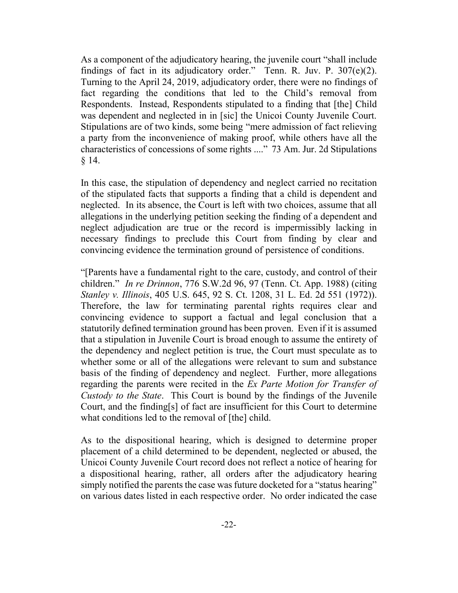As a component of the adjudicatory hearing, the juvenile court "shall include findings of fact in its adjudicatory order." Tenn. R. Juv. P. 307(e)(2). Turning to the April 24, 2019, adjudicatory order, there were no findings of fact regarding the conditions that led to the Child's removal from Respondents. Instead, Respondents stipulated to a finding that [the] Child was dependent and neglected in in [sic] the Unicoi County Juvenile Court. Stipulations are of two kinds, some being "mere admission of fact relieving a party from the inconvenience of making proof, while others have all the characteristics of concessions of some rights ...." 73 Am. Jur. 2d Stipulations § 14.

In this case, the stipulation of dependency and neglect carried no recitation of the stipulated facts that supports a finding that a child is dependent and neglected. In its absence, the Court is left with two choices, assume that all allegations in the underlying petition seeking the finding of a dependent and neglect adjudication are true or the record is impermissibly lacking in necessary findings to preclude this Court from finding by clear and convincing evidence the termination ground of persistence of conditions.

"[Parents have a fundamental right to the care, custody, and control of their children." *In re Drinnon*, 776 S.W.2d 96, 97 (Tenn. Ct. App. 1988) (citing *Stanley v. Illinois*, 405 U.S. 645, 92 S. Ct. 1208, 31 L. Ed. 2d 551 (1972)). Therefore, the law for terminating parental rights requires clear and convincing evidence to support a factual and legal conclusion that a statutorily defined termination ground has been proven. Even if it is assumed that a stipulation in Juvenile Court is broad enough to assume the entirety of the dependency and neglect petition is true, the Court must speculate as to whether some or all of the allegations were relevant to sum and substance basis of the finding of dependency and neglect. Further, more allegations regarding the parents were recited in the *Ex Parte Motion for Transfer of Custody to the State*. This Court is bound by the findings of the Juvenile Court, and the finding[s] of fact are insufficient for this Court to determine what conditions led to the removal of [the] child.

As to the dispositional hearing, which is designed to determine proper placement of a child determined to be dependent, neglected or abused, the Unicoi County Juvenile Court record does not reflect a notice of hearing for a dispositional hearing, rather, all orders after the adjudicatory hearing simply notified the parents the case was future docketed for a "status hearing" on various dates listed in each respective order. No order indicated the case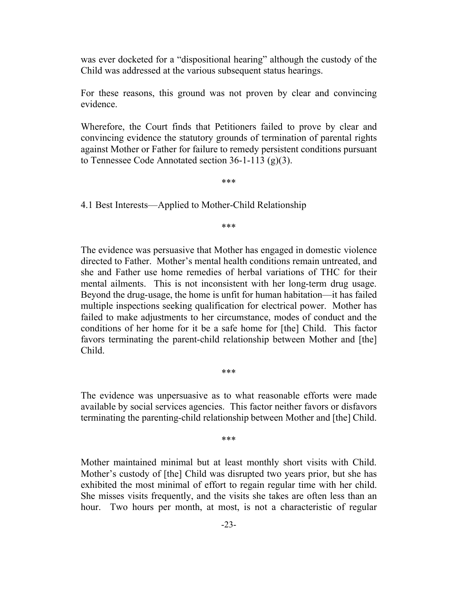was ever docketed for a "dispositional hearing" although the custody of the Child was addressed at the various subsequent status hearings.

For these reasons, this ground was not proven by clear and convincing evidence.

Wherefore, the Court finds that Petitioners failed to prove by clear and convincing evidence the statutory grounds of termination of parental rights against Mother or Father for failure to remedy persistent conditions pursuant to Tennessee Code Annotated section  $36-1-113$  (g)(3).

\*\*\*

4.1 Best Interests—Applied to Mother-Child Relationship

\*\*\*

The evidence was persuasive that Mother has engaged in domestic violence directed to Father. Mother's mental health conditions remain untreated, and she and Father use home remedies of herbal variations of THC for their mental ailments. This is not inconsistent with her long-term drug usage. Beyond the drug-usage, the home is unfit for human habitation—it has failed multiple inspections seeking qualification for electrical power. Mother has failed to make adjustments to her circumstance, modes of conduct and the conditions of her home for it be a safe home for [the] Child. This factor favors terminating the parent-child relationship between Mother and [the] Child.

\*\*\*

The evidence was unpersuasive as to what reasonable efforts were made available by social services agencies. This factor neither favors or disfavors terminating the parenting-child relationship between Mother and [the] Child.

\*\*\*

Mother maintained minimal but at least monthly short visits with Child. Mother's custody of [the] Child was disrupted two years prior, but she has exhibited the most minimal of effort to regain regular time with her child. She misses visits frequently, and the visits she takes are often less than an hour. Two hours per month, at most, is not a characteristic of regular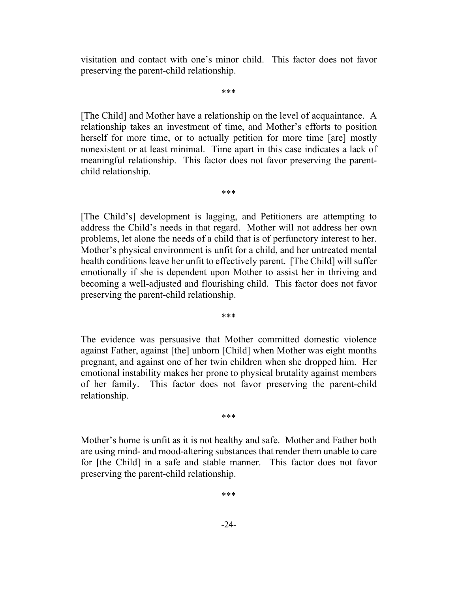visitation and contact with one's minor child. This factor does not favor preserving the parent-child relationship.

\*\*\*

[The Child] and Mother have a relationship on the level of acquaintance. A relationship takes an investment of time, and Mother's efforts to position herself for more time, or to actually petition for more time [are] mostly nonexistent or at least minimal. Time apart in this case indicates a lack of meaningful relationship. This factor does not favor preserving the parentchild relationship.

\*\*\*

[The Child's] development is lagging, and Petitioners are attempting to address the Child's needs in that regard. Mother will not address her own problems, let alone the needs of a child that is of perfunctory interest to her. Mother's physical environment is unfit for a child, and her untreated mental health conditions leave her unfit to effectively parent. [The Child] will suffer emotionally if she is dependent upon Mother to assist her in thriving and becoming a well-adjusted and flourishing child. This factor does not favor preserving the parent-child relationship.

\*\*\*

The evidence was persuasive that Mother committed domestic violence against Father, against [the] unborn [Child] when Mother was eight months pregnant, and against one of her twin children when she dropped him. Her emotional instability makes her prone to physical brutality against members of her family. This factor does not favor preserving the parent-child relationship.

\*\*\*

Mother's home is unfit as it is not healthy and safe. Mother and Father both are using mind- and mood-altering substances that render them unable to care for [the Child] in a safe and stable manner. This factor does not favor preserving the parent-child relationship.

\*\*\*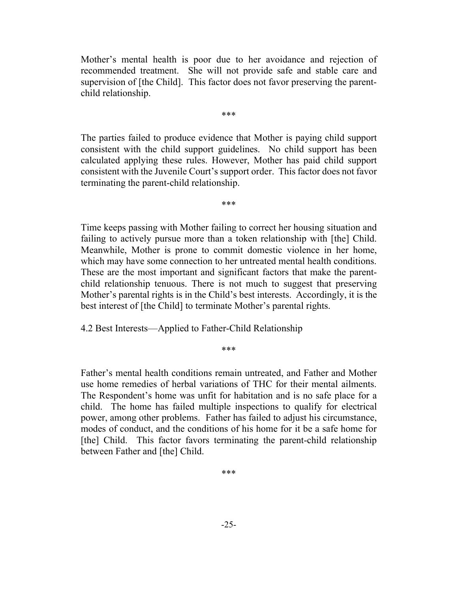Mother's mental health is poor due to her avoidance and rejection of recommended treatment. She will not provide safe and stable care and supervision of [the Child]. This factor does not favor preserving the parentchild relationship.

\*\*\*

The parties failed to produce evidence that Mother is paying child support consistent with the child support guidelines. No child support has been calculated applying these rules. However, Mother has paid child support consistent with the Juvenile Court's support order. This factor does not favor terminating the parent-child relationship.

\*\*\*

Time keeps passing with Mother failing to correct her housing situation and failing to actively pursue more than a token relationship with [the] Child. Meanwhile, Mother is prone to commit domestic violence in her home, which may have some connection to her untreated mental health conditions. These are the most important and significant factors that make the parentchild relationship tenuous. There is not much to suggest that preserving Mother's parental rights is in the Child's best interests. Accordingly, it is the best interest of [the Child] to terminate Mother's parental rights.

4.2 Best Interests—Applied to Father-Child Relationship

\*\*\*

Father's mental health conditions remain untreated, and Father and Mother use home remedies of herbal variations of THC for their mental ailments. The Respondent's home was unfit for habitation and is no safe place for a child. The home has failed multiple inspections to qualify for electrical power, among other problems. Father has failed to adjust his circumstance, modes of conduct, and the conditions of his home for it be a safe home for [the] Child. This factor favors terminating the parent-child relationship between Father and [the] Child.

\*\*\*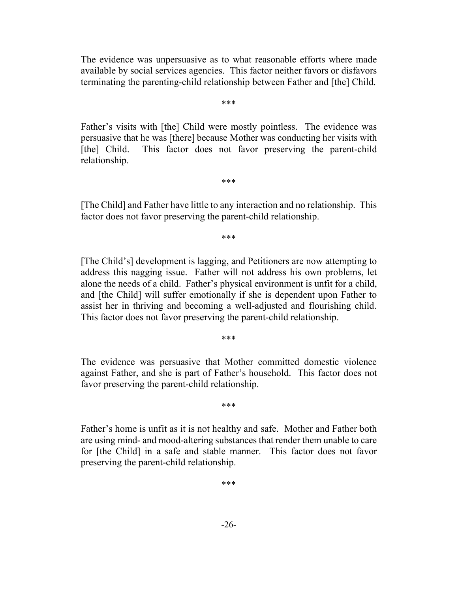The evidence was unpersuasive as to what reasonable efforts where made available by social services agencies. This factor neither favors or disfavors terminating the parenting-child relationship between Father and [the] Child.

\*\*\*

Father's visits with [the] Child were mostly pointless. The evidence was persuasive that he was [there] because Mother was conducting her visits with [the] Child. This factor does not favor preserving the parent-child relationship.

[The Child] and Father have little to any interaction and no relationship. This factor does not favor preserving the parent-child relationship.

\*\*\*

\*\*\*

[The Child's] development is lagging, and Petitioners are now attempting to address this nagging issue. Father will not address his own problems, let alone the needs of a child. Father's physical environment is unfit for a child, and [the Child] will suffer emotionally if she is dependent upon Father to assist her in thriving and becoming a well-adjusted and flourishing child. This factor does not favor preserving the parent-child relationship.

\*\*\*

The evidence was persuasive that Mother committed domestic violence against Father, and she is part of Father's household. This factor does not favor preserving the parent-child relationship.

\*\*\*

Father's home is unfit as it is not healthy and safe. Mother and Father both are using mind- and mood-altering substances that render them unable to care for [the Child] in a safe and stable manner. This factor does not favor preserving the parent-child relationship.

\*\*\*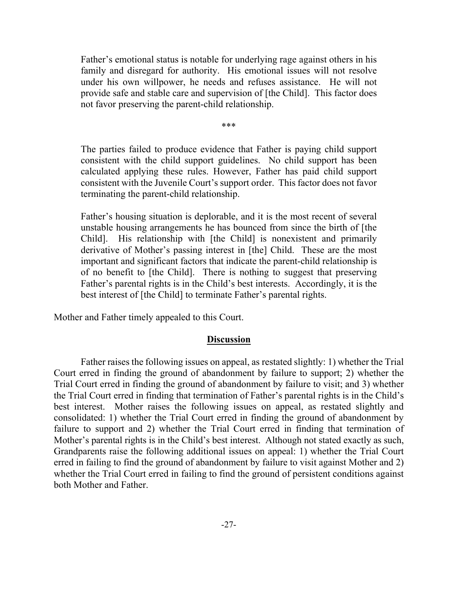Father's emotional status is notable for underlying rage against others in his family and disregard for authority. His emotional issues will not resolve under his own willpower, he needs and refuses assistance. He will not provide safe and stable care and supervision of [the Child]. This factor does not favor preserving the parent-child relationship.

\*\*\*

The parties failed to produce evidence that Father is paying child support consistent with the child support guidelines. No child support has been calculated applying these rules. However, Father has paid child support consistent with the Juvenile Court's support order. This factor does not favor terminating the parent-child relationship.

Father's housing situation is deplorable, and it is the most recent of several unstable housing arrangements he has bounced from since the birth of [the Child]. His relationship with [the Child] is nonexistent and primarily derivative of Mother's passing interest in [the] Child. These are the most important and significant factors that indicate the parent-child relationship is of no benefit to [the Child]. There is nothing to suggest that preserving Father's parental rights is in the Child's best interests. Accordingly, it is the best interest of [the Child] to terminate Father's parental rights.

Mother and Father timely appealed to this Court.

### **Discussion**

Father raises the following issues on appeal, as restated slightly: 1) whether the Trial Court erred in finding the ground of abandonment by failure to support; 2) whether the Trial Court erred in finding the ground of abandonment by failure to visit; and 3) whether the Trial Court erred in finding that termination of Father's parental rights is in the Child's best interest. Mother raises the following issues on appeal, as restated slightly and consolidated: 1) whether the Trial Court erred in finding the ground of abandonment by failure to support and 2) whether the Trial Court erred in finding that termination of Mother's parental rights is in the Child's best interest. Although not stated exactly as such, Grandparents raise the following additional issues on appeal: 1) whether the Trial Court erred in failing to find the ground of abandonment by failure to visit against Mother and 2) whether the Trial Court erred in failing to find the ground of persistent conditions against both Mother and Father.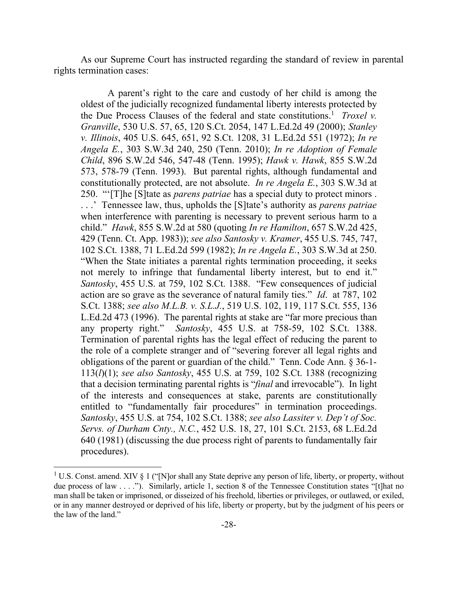As our Supreme Court has instructed regarding the standard of review in parental rights termination cases:

A parent's right to the care and custody of her child is among the oldest of the judicially recognized fundamental liberty interests protected by the Due Process Clauses of the federal and state constitutions.<sup>1</sup> *Troxel v. Granville*, 530 U.S. 57, 65, 120 S.Ct. 2054, 147 L.Ed.2d 49 (2000); *Stanley v. Illinois*, 405 U.S. 645, 651, 92 S.Ct. 1208, 31 L.Ed.2d 551 (1972); *In re Angela E.*, 303 S.W.3d 240, 250 (Tenn. 2010); *In re Adoption of Female Child*, 896 S.W.2d 546, 547-48 (Tenn. 1995); *Hawk v. Hawk*, 855 S.W.2d 573, 578-79 (Tenn. 1993). But parental rights, although fundamental and constitutionally protected, are not absolute. *In re Angela E.*, 303 S.W.3d at 250. "'[T]he [S]tate as *parens patriae* has a special duty to protect minors . . . .' Tennessee law, thus, upholds the [S]tate's authority as *parens patriae* when interference with parenting is necessary to prevent serious harm to a child." *Hawk*, 855 S.W.2d at 580 (quoting *In re Hamilton*, 657 S.W.2d 425, 429 (Tenn. Ct. App. 1983)); *see also Santosky v. Kramer*, 455 U.S. 745, 747, 102 S.Ct. 1388, 71 L.Ed.2d 599 (1982); *In re Angela E.*, 303 S.W.3d at 250. "When the State initiates a parental rights termination proceeding, it seeks not merely to infringe that fundamental liberty interest, but to end it." *Santosky*, 455 U.S. at 759, 102 S.Ct. 1388. "Few consequences of judicial action are so grave as the severance of natural family ties." *Id*. at 787, 102 S.Ct. 1388; *see also M.L.B. v. S.L.J.*, 519 U.S. 102, 119, 117 S.Ct. 555, 136 L.Ed.2d 473 (1996). The parental rights at stake are "far more precious than any property right." *Santosky*, 455 U.S. at 758-59, 102 S.Ct. 1388. Termination of parental rights has the legal effect of reducing the parent to the role of a complete stranger and of "severing forever all legal rights and obligations of the parent or guardian of the child." Tenn. Code Ann. § 36-1- 113(*l*)(1); *see also Santosky*, 455 U.S. at 759, 102 S.Ct. 1388 (recognizing that a decision terminating parental rights is "*final* and irrevocable"). In light of the interests and consequences at stake, parents are constitutionally entitled to "fundamentally fair procedures" in termination proceedings. *Santosky*, 455 U.S. at 754, 102 S.Ct. 1388; *see also Lassiter v. Dep't of Soc. Servs. of Durham Cnty., N.C.*, 452 U.S. 18, 27, 101 S.Ct. 2153, 68 L.Ed.2d 640 (1981) (discussing the due process right of parents to fundamentally fair procedures).

 $\overline{a}$ 

<sup>&</sup>lt;sup>1</sup> U.S. Const. amend. XIV § 1 ("[N]or shall any State deprive any person of life, liberty, or property, without due process of law . . . ."). Similarly, article 1, section 8 of the Tennessee Constitution states "[t]hat no man shall be taken or imprisoned, or disseized of his freehold, liberties or privileges, or outlawed, or exiled, or in any manner destroyed or deprived of his life, liberty or property, but by the judgment of his peers or the law of the land."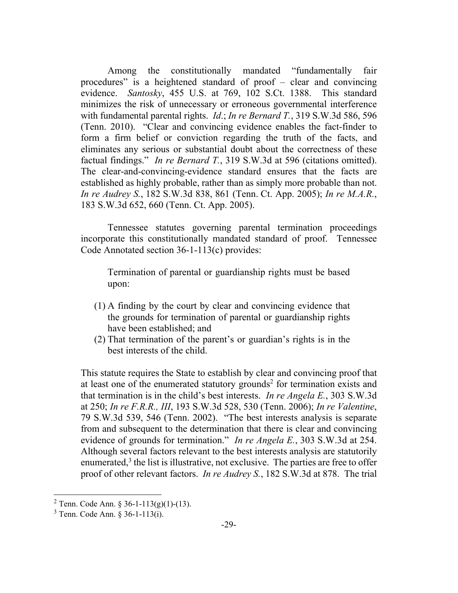Among the constitutionally mandated "fundamentally fair procedures" is a heightened standard of proof – clear and convincing evidence. *Santosky*, 455 U.S. at 769, 102 S.Ct. 1388. This standard minimizes the risk of unnecessary or erroneous governmental interference with fundamental parental rights. *Id*.; *In re Bernard T.*, 319 S.W.3d 586, 596 (Tenn. 2010). "Clear and convincing evidence enables the fact-finder to form a firm belief or conviction regarding the truth of the facts, and eliminates any serious or substantial doubt about the correctness of these factual findings." *In re Bernard T.*, 319 S.W.3d at 596 (citations omitted). The clear-and-convincing-evidence standard ensures that the facts are established as highly probable, rather than as simply more probable than not. *In re Audrey S.*, 182 S.W.3d 838, 861 (Tenn. Ct. App. 2005); *In re M.A.R.*, 183 S.W.3d 652, 660 (Tenn. Ct. App. 2005).

Tennessee statutes governing parental termination proceedings incorporate this constitutionally mandated standard of proof. Tennessee Code Annotated section 36-1-113(c) provides:

Termination of parental or guardianship rights must be based upon:

- (1) A finding by the court by clear and convincing evidence that the grounds for termination of parental or guardianship rights have been established; and
- (2) That termination of the parent's or guardian's rights is in the best interests of the child.

This statute requires the State to establish by clear and convincing proof that at least one of the enumerated statutory grounds<sup>2</sup> for termination exists and that termination is in the child's best interests. *In re Angela E.*, 303 S.W.3d at 250; *In re F.R.R., III*, 193 S.W.3d 528, 530 (Tenn. 2006); *In re Valentine*, 79 S.W.3d 539, 546 (Tenn. 2002). "The best interests analysis is separate from and subsequent to the determination that there is clear and convincing evidence of grounds for termination." *In re Angela E.*, 303 S.W.3d at 254. Although several factors relevant to the best interests analysis are statutorily enumerated, $3$  the list is illustrative, not exclusive. The parties are free to offer proof of other relevant factors. *In re Audrey S.*, 182 S.W.3d at 878. The trial

l

<sup>&</sup>lt;sup>2</sup> Tenn. Code Ann. § 36-1-113(g)(1)-(13).

 $3$  Tenn. Code Ann. § 36-1-113(i).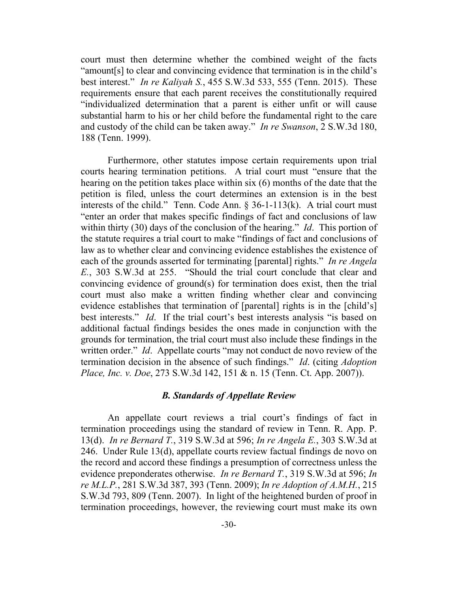court must then determine whether the combined weight of the facts "amount[s] to clear and convincing evidence that termination is in the child's best interest." *In re Kaliyah S.*, 455 S.W.3d 533, 555 (Tenn. 2015). These requirements ensure that each parent receives the constitutionally required "individualized determination that a parent is either unfit or will cause substantial harm to his or her child before the fundamental right to the care and custody of the child can be taken away." *In re Swanson*, 2 S.W.3d 180, 188 (Tenn. 1999).

Furthermore, other statutes impose certain requirements upon trial courts hearing termination petitions. A trial court must "ensure that the hearing on the petition takes place within six (6) months of the date that the petition is filed, unless the court determines an extension is in the best interests of the child." Tenn. Code Ann.  $\S$  36-1-113(k). A trial court must "enter an order that makes specific findings of fact and conclusions of law within thirty (30) days of the conclusion of the hearing." *Id*. This portion of the statute requires a trial court to make "findings of fact and conclusions of law as to whether clear and convincing evidence establishes the existence of each of the grounds asserted for terminating [parental] rights." *In re Angela E.*, 303 S.W.3d at 255. "Should the trial court conclude that clear and convincing evidence of ground(s) for termination does exist, then the trial court must also make a written finding whether clear and convincing evidence establishes that termination of [parental] rights is in the [child's] best interests." *Id*. If the trial court's best interests analysis "is based on additional factual findings besides the ones made in conjunction with the grounds for termination, the trial court must also include these findings in the written order." *Id*. Appellate courts "may not conduct de novo review of the termination decision in the absence of such findings." *Id*. (citing *Adoption Place, Inc. v. Doe*, 273 S.W.3d 142, 151 & n. 15 (Tenn. Ct. App. 2007)).

### *B. Standards of Appellate Review*

An appellate court reviews a trial court's findings of fact in termination proceedings using the standard of review in Tenn. R. App. P. 13(d). *In re Bernard T.*, 319 S.W.3d at 596; *In re Angela E.*, 303 S.W.3d at 246. Under Rule 13(d), appellate courts review factual findings de novo on the record and accord these findings a presumption of correctness unless the evidence preponderates otherwise. *In re Bernard T.*, 319 S.W.3d at 596; *In re M.L.P.*, 281 S.W.3d 387, 393 (Tenn. 2009); *In re Adoption of A.M.H.*, 215 S.W.3d 793, 809 (Tenn. 2007). In light of the heightened burden of proof in termination proceedings, however, the reviewing court must make its own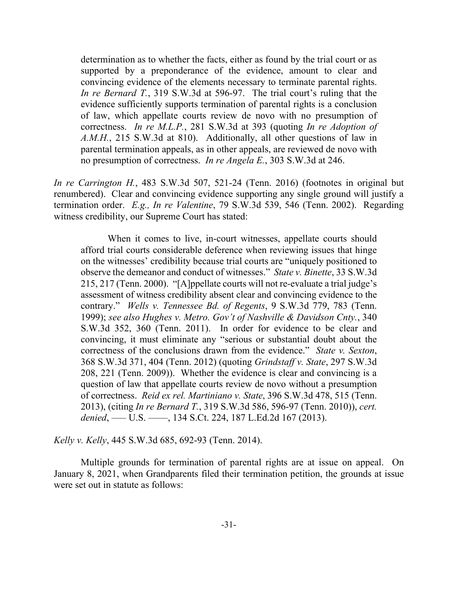determination as to whether the facts, either as found by the trial court or as supported by a preponderance of the evidence, amount to clear and convincing evidence of the elements necessary to terminate parental rights. *In re Bernard T.*, 319 S.W.3d at 596-97. The trial court's ruling that the evidence sufficiently supports termination of parental rights is a conclusion of law, which appellate courts review de novo with no presumption of correctness. *In re M.L.P.*, 281 S.W.3d at 393 (quoting *In re Adoption of A.M.H.*, 215 S.W.3d at 810). Additionally, all other questions of law in parental termination appeals, as in other appeals, are reviewed de novo with no presumption of correctness. *In re Angela E.*, 303 S.W.3d at 246.

*In re Carrington H.*, 483 S.W.3d 507, 521-24 (Tenn. 2016) (footnotes in original but renumbered). Clear and convincing evidence supporting any single ground will justify a termination order. *E.g., In re Valentine*, 79 S.W.3d 539, 546 (Tenn. 2002). Regarding witness credibility, our Supreme Court has stated:

When it comes to live, in-court witnesses, appellate courts should afford trial courts considerable deference when reviewing issues that hinge on the witnesses' credibility because trial courts are "uniquely positioned to observe the demeanor and conduct of witnesses." *State v. Binette*, 33 S.W.3d 215, 217 (Tenn. 2000). "[A]ppellate courts will not re-evaluate a trial judge's assessment of witness credibility absent clear and convincing evidence to the contrary." *Wells v. Tennessee Bd. of Regents*, 9 S.W.3d 779, 783 (Tenn. 1999); *see also Hughes v. Metro. Gov't of Nashville & Davidson Cnty.*, 340 S.W.3d 352, 360 (Tenn. 2011). In order for evidence to be clear and convincing, it must eliminate any "serious or substantial doubt about the correctness of the conclusions drawn from the evidence." *State v. Sexton*, 368 S.W.3d 371, 404 (Tenn. 2012) (quoting *Grindstaff v. State*, 297 S.W.3d 208, 221 (Tenn. 2009)). Whether the evidence is clear and convincing is a question of law that appellate courts review de novo without a presumption of correctness. *Reid ex rel. Martiniano v. State*, 396 S.W.3d 478, 515 (Tenn. 2013), (citing *In re Bernard T.*, 319 S.W.3d 586, 596-97 (Tenn. 2010)), *cert. denied*, ––– U.S. ––––, 134 S.Ct. 224, 187 L.Ed.2d 167 (2013).

*Kelly v. Kelly*, 445 S.W.3d 685, 692-93 (Tenn. 2014).

Multiple grounds for termination of parental rights are at issue on appeal. On January 8, 2021, when Grandparents filed their termination petition, the grounds at issue were set out in statute as follows: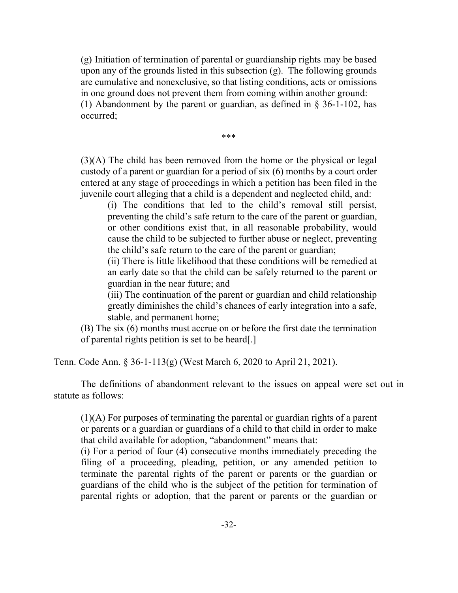(g) Initiation of termination of parental or guardianship rights may be based upon any of the grounds listed in this subsection (g). The following grounds are cumulative and nonexclusive, so that listing conditions, acts or omissions in one ground does not prevent them from coming within another ground: (1) Abandonment by the parent or guardian, as defined in § 36-1-102, has occurred;

\*\*\*

(3)(A) The child has been removed from the home or the physical or legal custody of a parent or guardian for a period of six (6) months by a court order entered at any stage of proceedings in which a petition has been filed in the juvenile court alleging that a child is a dependent and neglected child, and:

(i) The conditions that led to the child's removal still persist, preventing the child's safe return to the care of the parent or guardian, or other conditions exist that, in all reasonable probability, would cause the child to be subjected to further abuse or neglect, preventing the child's safe return to the care of the parent or guardian;

(ii) There is little likelihood that these conditions will be remedied at an early date so that the child can be safely returned to the parent or guardian in the near future; and

(iii) The continuation of the parent or guardian and child relationship greatly diminishes the child's chances of early integration into a safe, stable, and permanent home;

(B) The six (6) months must accrue on or before the first date the termination of parental rights petition is set to be heard[.]

Tenn. Code Ann. § 36-1-113(g) (West March 6, 2020 to April 21, 2021).

The definitions of abandonment relevant to the issues on appeal were set out in statute as follows:

(1)(A) For purposes of terminating the parental or guardian rights of a parent or parents or a guardian or guardians of a child to that child in order to make that child available for adoption, "abandonment" means that:

(i) For a period of four (4) consecutive months immediately preceding the filing of a proceeding, pleading, petition, or any amended petition to terminate the parental rights of the parent or parents or the guardian or guardians of the child who is the subject of the petition for termination of parental rights or adoption, that the parent or parents or the guardian or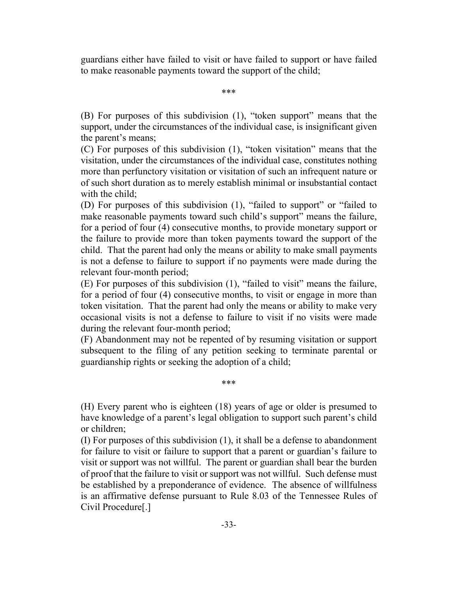guardians either have failed to visit or have failed to support or have failed to make reasonable payments toward the support of the child;

\*\*\*

(B) For purposes of this subdivision (1), "token support" means that the support, under the circumstances of the individual case, is insignificant given the parent's means;

(C) For purposes of this subdivision (1), "token visitation" means that the visitation, under the circumstances of the individual case, constitutes nothing more than perfunctory visitation or visitation of such an infrequent nature or of such short duration as to merely establish minimal or insubstantial contact with the child;

(D) For purposes of this subdivision (1), "failed to support" or "failed to make reasonable payments toward such child's support" means the failure, for a period of four (4) consecutive months, to provide monetary support or the failure to provide more than token payments toward the support of the child. That the parent had only the means or ability to make small payments is not a defense to failure to support if no payments were made during the relevant four-month period;

(E) For purposes of this subdivision (1), "failed to visit" means the failure, for a period of four (4) consecutive months, to visit or engage in more than token visitation. That the parent had only the means or ability to make very occasional visits is not a defense to failure to visit if no visits were made during the relevant four-month period;

(F) Abandonment may not be repented of by resuming visitation or support subsequent to the filing of any petition seeking to terminate parental or guardianship rights or seeking the adoption of a child;

\*\*\*

(H) Every parent who is eighteen (18) years of age or older is presumed to have knowledge of a parent's legal obligation to support such parent's child or children;

(I) For purposes of this subdivision (1), it shall be a defense to abandonment for failure to visit or failure to support that a parent or guardian's failure to visit or support was not willful. The parent or guardian shall bear the burden of proof that the failure to visit or support was not willful. Such defense must be established by a preponderance of evidence. The absence of willfulness is an affirmative defense pursuant to Rule 8.03 of the Tennessee Rules of Civil Procedure[.]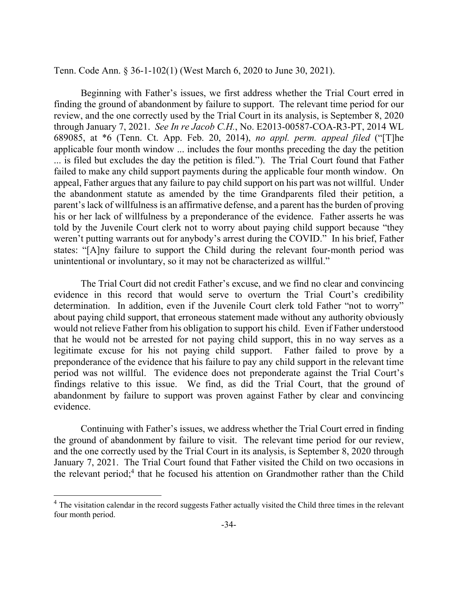Tenn. Code Ann. § 36-1-102(1) (West March 6, 2020 to June 30, 2021).

Beginning with Father's issues, we first address whether the Trial Court erred in finding the ground of abandonment by failure to support. The relevant time period for our review, and the one correctly used by the Trial Court in its analysis, is September 8, 2020 through January 7, 2021. *See In re Jacob C.H.*, No. E2013-00587-COA-R3-PT, 2014 WL 689085, at \*6 (Tenn. Ct. App. Feb. 20, 2014), *no appl. perm. appeal filed* ("[T]he applicable four month window ... includes the four months preceding the day the petition ... is filed but excludes the day the petition is filed."). The Trial Court found that Father failed to make any child support payments during the applicable four month window. On appeal, Father argues that any failure to pay child support on his part was not willful. Under the abandonment statute as amended by the time Grandparents filed their petition, a parent's lack of willfulness is an affirmative defense, and a parent has the burden of proving his or her lack of willfulness by a preponderance of the evidence. Father asserts he was told by the Juvenile Court clerk not to worry about paying child support because "they weren't putting warrants out for anybody's arrest during the COVID." In his brief, Father states: "[A]ny failure to support the Child during the relevant four-month period was unintentional or involuntary, so it may not be characterized as willful."

The Trial Court did not credit Father's excuse, and we find no clear and convincing evidence in this record that would serve to overturn the Trial Court's credibility determination. In addition, even if the Juvenile Court clerk told Father "not to worry" about paying child support, that erroneous statement made without any authority obviously would not relieve Father from his obligation to support his child. Even if Father understood that he would not be arrested for not paying child support, this in no way serves as a legitimate excuse for his not paying child support. Father failed to prove by a preponderance of the evidence that his failure to pay any child support in the relevant time period was not willful. The evidence does not preponderate against the Trial Court's findings relative to this issue. We find, as did the Trial Court, that the ground of abandonment by failure to support was proven against Father by clear and convincing evidence.

Continuing with Father's issues, we address whether the Trial Court erred in finding the ground of abandonment by failure to visit. The relevant time period for our review, and the one correctly used by the Trial Court in its analysis, is September 8, 2020 through January 7, 2021. The Trial Court found that Father visited the Child on two occasions in the relevant period;<sup>4</sup> that he focused his attention on Grandmother rather than the Child

l

 $4$  The visitation calendar in the record suggests Father actually visited the Child three times in the relevant four month period.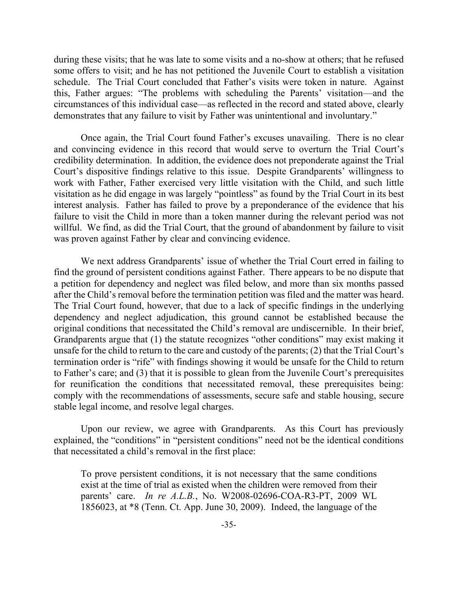during these visits; that he was late to some visits and a no-show at others; that he refused some offers to visit; and he has not petitioned the Juvenile Court to establish a visitation schedule. The Trial Court concluded that Father's visits were token in nature. Against this, Father argues: "The problems with scheduling the Parents' visitation—and the circumstances of this individual case—as reflected in the record and stated above, clearly demonstrates that any failure to visit by Father was unintentional and involuntary."

Once again, the Trial Court found Father's excuses unavailing. There is no clear and convincing evidence in this record that would serve to overturn the Trial Court's credibility determination. In addition, the evidence does not preponderate against the Trial Court's dispositive findings relative to this issue. Despite Grandparents' willingness to work with Father, Father exercised very little visitation with the Child, and such little visitation as he did engage in was largely "pointless" as found by the Trial Court in its best interest analysis. Father has failed to prove by a preponderance of the evidence that his failure to visit the Child in more than a token manner during the relevant period was not willful. We find, as did the Trial Court, that the ground of abandonment by failure to visit was proven against Father by clear and convincing evidence.

We next address Grandparents' issue of whether the Trial Court erred in failing to find the ground of persistent conditions against Father. There appears to be no dispute that a petition for dependency and neglect was filed below, and more than six months passed after the Child's removal before the termination petition was filed and the matter was heard. The Trial Court found, however, that due to a lack of specific findings in the underlying dependency and neglect adjudication, this ground cannot be established because the original conditions that necessitated the Child's removal are undiscernible. In their brief, Grandparents argue that (1) the statute recognizes "other conditions" may exist making it unsafe for the child to return to the care and custody of the parents; (2) that the Trial Court's termination order is "rife" with findings showing it would be unsafe for the Child to return to Father's care; and (3) that it is possible to glean from the Juvenile Court's prerequisites for reunification the conditions that necessitated removal, these prerequisites being: comply with the recommendations of assessments, secure safe and stable housing, secure stable legal income, and resolve legal charges.

Upon our review, we agree with Grandparents. As this Court has previously explained, the "conditions" in "persistent conditions" need not be the identical conditions that necessitated a child's removal in the first place:

To prove persistent conditions, it is not necessary that the same conditions exist at the time of trial as existed when the children were removed from their parents' care. *In re A.L.B.*, No. W2008-02696-COA-R3-PT, 2009 WL 1856023, at \*8 (Tenn. Ct. App. June 30, 2009). Indeed, the language of the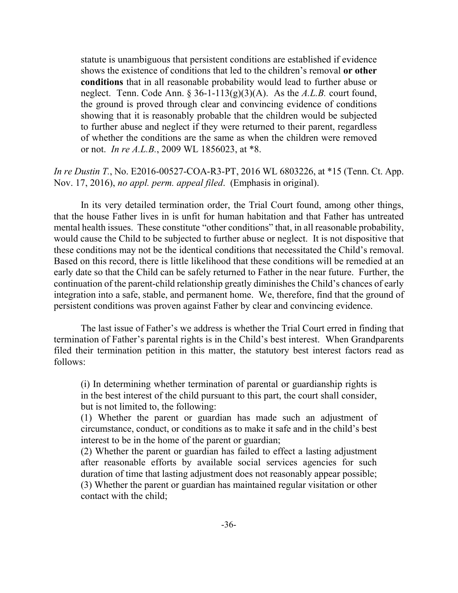statute is unambiguous that persistent conditions are established if evidence shows the existence of conditions that led to the children's removal **or other conditions** that in all reasonable probability would lead to further abuse or neglect. Tenn. Code Ann. § 36-1-113(g)(3)(A). As the *A.L.B.* court found, the ground is proved through clear and convincing evidence of conditions showing that it is reasonably probable that the children would be subjected to further abuse and neglect if they were returned to their parent, regardless of whether the conditions are the same as when the children were removed or not. *In re A.L.B.*, 2009 WL 1856023, at \*8.

# *In re Dustin T.*, No. E2016-00527-COA-R3-PT, 2016 WL 6803226, at \*15 (Tenn. Ct. App. Nov. 17, 2016), *no appl. perm. appeal filed*. (Emphasis in original).

In its very detailed termination order, the Trial Court found, among other things, that the house Father lives in is unfit for human habitation and that Father has untreated mental health issues. These constitute "other conditions" that, in all reasonable probability, would cause the Child to be subjected to further abuse or neglect. It is not dispositive that these conditions may not be the identical conditions that necessitated the Child's removal. Based on this record, there is little likelihood that these conditions will be remedied at an early date so that the Child can be safely returned to Father in the near future. Further, the continuation of the parent-child relationship greatly diminishes the Child's chances of early integration into a safe, stable, and permanent home. We, therefore, find that the ground of persistent conditions was proven against Father by clear and convincing evidence.

The last issue of Father's we address is whether the Trial Court erred in finding that termination of Father's parental rights is in the Child's best interest. When Grandparents filed their termination petition in this matter, the statutory best interest factors read as follows:

(i) In determining whether termination of parental or guardianship rights is in the best interest of the child pursuant to this part, the court shall consider, but is not limited to, the following:

(1) Whether the parent or guardian has made such an adjustment of circumstance, conduct, or conditions as to make it safe and in the child's best interest to be in the home of the parent or guardian;

(2) Whether the parent or guardian has failed to effect a lasting adjustment after reasonable efforts by available social services agencies for such duration of time that lasting adjustment does not reasonably appear possible; (3) Whether the parent or guardian has maintained regular visitation or other contact with the child;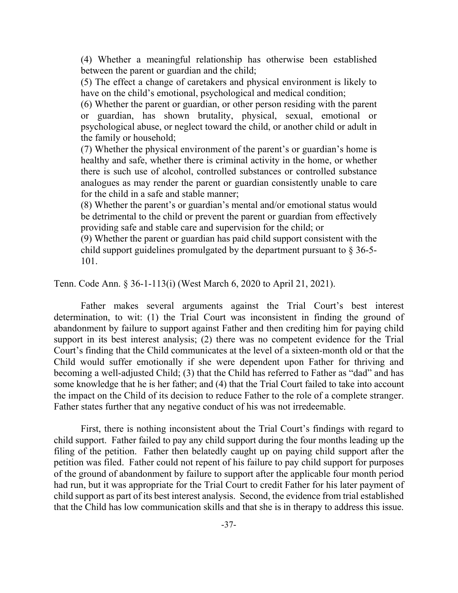(4) Whether a meaningful relationship has otherwise been established between the parent or guardian and the child;

(5) The effect a change of caretakers and physical environment is likely to have on the child's emotional, psychological and medical condition;

(6) Whether the parent or guardian, or other person residing with the parent or guardian, has shown brutality, physical, sexual, emotional or psychological abuse, or neglect toward the child, or another child or adult in the family or household;

(7) Whether the physical environment of the parent's or guardian's home is healthy and safe, whether there is criminal activity in the home, or whether there is such use of alcohol, controlled substances or controlled substance analogues as may render the parent or guardian consistently unable to care for the child in a safe and stable manner;

(8) Whether the parent's or guardian's mental and/or emotional status would be detrimental to the child or prevent the parent or guardian from effectively providing safe and stable care and supervision for the child; or

(9) Whether the parent or guardian has paid child support consistent with the child support guidelines promulgated by the department pursuant to § 36-5- 101.

Tenn. Code Ann. § 36-1-113(i) (West March 6, 2020 to April 21, 2021).

Father makes several arguments against the Trial Court's best interest determination, to wit: (1) the Trial Court was inconsistent in finding the ground of abandonment by failure to support against Father and then crediting him for paying child support in its best interest analysis; (2) there was no competent evidence for the Trial Court's finding that the Child communicates at the level of a sixteen-month old or that the Child would suffer emotionally if she were dependent upon Father for thriving and becoming a well-adjusted Child; (3) that the Child has referred to Father as "dad" and has some knowledge that he is her father; and (4) that the Trial Court failed to take into account the impact on the Child of its decision to reduce Father to the role of a complete stranger. Father states further that any negative conduct of his was not irredeemable.

First, there is nothing inconsistent about the Trial Court's findings with regard to child support. Father failed to pay any child support during the four months leading up the filing of the petition. Father then belatedly caught up on paying child support after the petition was filed. Father could not repent of his failure to pay child support for purposes of the ground of abandonment by failure to support after the applicable four month period had run, but it was appropriate for the Trial Court to credit Father for his later payment of child support as part of its best interest analysis. Second, the evidence from trial established that the Child has low communication skills and that she is in therapy to address this issue.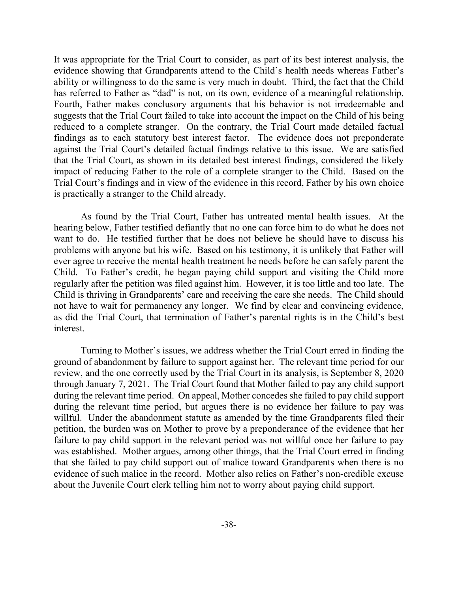It was appropriate for the Trial Court to consider, as part of its best interest analysis, the evidence showing that Grandparents attend to the Child's health needs whereas Father's ability or willingness to do the same is very much in doubt. Third, the fact that the Child has referred to Father as "dad" is not, on its own, evidence of a meaningful relationship. Fourth, Father makes conclusory arguments that his behavior is not irredeemable and suggests that the Trial Court failed to take into account the impact on the Child of his being reduced to a complete stranger. On the contrary, the Trial Court made detailed factual findings as to each statutory best interest factor. The evidence does not preponderate against the Trial Court's detailed factual findings relative to this issue. We are satisfied that the Trial Court, as shown in its detailed best interest findings, considered the likely impact of reducing Father to the role of a complete stranger to the Child. Based on the Trial Court's findings and in view of the evidence in this record, Father by his own choice is practically a stranger to the Child already.

As found by the Trial Court, Father has untreated mental health issues. At the hearing below, Father testified defiantly that no one can force him to do what he does not want to do. He testified further that he does not believe he should have to discuss his problems with anyone but his wife. Based on his testimony, it is unlikely that Father will ever agree to receive the mental health treatment he needs before he can safely parent the Child. To Father's credit, he began paying child support and visiting the Child more regularly after the petition was filed against him. However, it is too little and too late. The Child is thriving in Grandparents' care and receiving the care she needs. The Child should not have to wait for permanency any longer. We find by clear and convincing evidence, as did the Trial Court, that termination of Father's parental rights is in the Child's best interest.

Turning to Mother's issues, we address whether the Trial Court erred in finding the ground of abandonment by failure to support against her. The relevant time period for our review, and the one correctly used by the Trial Court in its analysis, is September 8, 2020 through January 7, 2021. The Trial Court found that Mother failed to pay any child support during the relevant time period. On appeal, Mother concedes she failed to pay child support during the relevant time period, but argues there is no evidence her failure to pay was willful. Under the abandonment statute as amended by the time Grandparents filed their petition, the burden was on Mother to prove by a preponderance of the evidence that her failure to pay child support in the relevant period was not willful once her failure to pay was established. Mother argues, among other things, that the Trial Court erred in finding that she failed to pay child support out of malice toward Grandparents when there is no evidence of such malice in the record. Mother also relies on Father's non-credible excuse about the Juvenile Court clerk telling him not to worry about paying child support.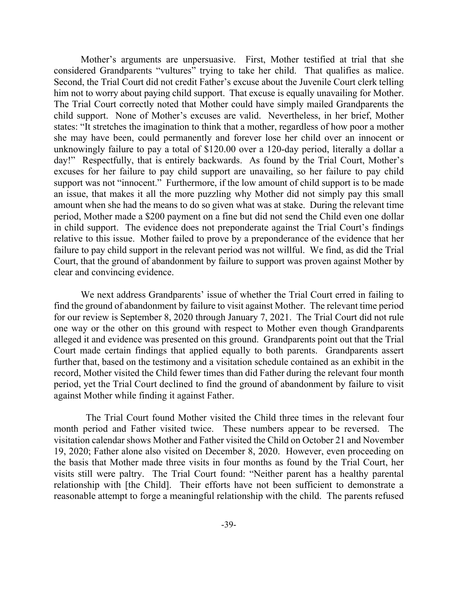Mother's arguments are unpersuasive. First, Mother testified at trial that she considered Grandparents "vultures" trying to take her child. That qualifies as malice. Second, the Trial Court did not credit Father's excuse about the Juvenile Court clerk telling him not to worry about paying child support. That excuse is equally unavailing for Mother. The Trial Court correctly noted that Mother could have simply mailed Grandparents the child support. None of Mother's excuses are valid. Nevertheless, in her brief, Mother states: "It stretches the imagination to think that a mother, regardless of how poor a mother she may have been, could permanently and forever lose her child over an innocent or unknowingly failure to pay a total of \$120.00 over a 120-day period, literally a dollar a day!" Respectfully, that is entirely backwards. As found by the Trial Court, Mother's excuses for her failure to pay child support are unavailing, so her failure to pay child support was not "innocent." Furthermore, if the low amount of child support is to be made an issue, that makes it all the more puzzling why Mother did not simply pay this small amount when she had the means to do so given what was at stake. During the relevant time period, Mother made a \$200 payment on a fine but did not send the Child even one dollar in child support. The evidence does not preponderate against the Trial Court's findings relative to this issue. Mother failed to prove by a preponderance of the evidence that her failure to pay child support in the relevant period was not willful. We find, as did the Trial Court, that the ground of abandonment by failure to support was proven against Mother by clear and convincing evidence.

We next address Grandparents' issue of whether the Trial Court erred in failing to find the ground of abandonment by failure to visit against Mother. The relevant time period for our review is September 8, 2020 through January 7, 2021. The Trial Court did not rule one way or the other on this ground with respect to Mother even though Grandparents alleged it and evidence was presented on this ground. Grandparents point out that the Trial Court made certain findings that applied equally to both parents. Grandparents assert further that, based on the testimony and a visitation schedule contained as an exhibit in the record, Mother visited the Child fewer times than did Father during the relevant four month period, yet the Trial Court declined to find the ground of abandonment by failure to visit against Mother while finding it against Father.

 The Trial Court found Mother visited the Child three times in the relevant four month period and Father visited twice. These numbers appear to be reversed. The visitation calendar shows Mother and Father visited the Child on October 21 and November 19, 2020; Father alone also visited on December 8, 2020. However, even proceeding on the basis that Mother made three visits in four months as found by the Trial Court, her visits still were paltry. The Trial Court found: "Neither parent has a healthy parental relationship with [the Child]. Their efforts have not been sufficient to demonstrate a reasonable attempt to forge a meaningful relationship with the child. The parents refused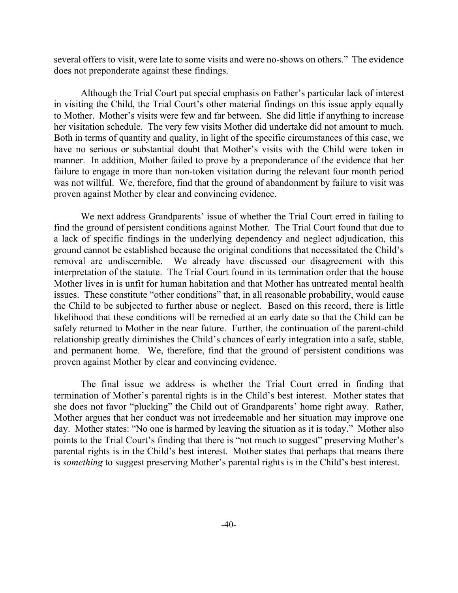several offers to visit, were late to some visits and were no-shows on others." The evidence does not preponderate against these findings.

Although the Trial Court put special emphasis on Father's particular lack of interest in visiting the Child, the Trial Court's other material findings on this issue apply equally to Mother. Mother's visits were few and far between. She did little if anything to increase her visitation schedule. The very few visits Mother did undertake did not amount to much. Both in terms of quantity and quality, in light of the specific circumstances of this case, we have no serious or substantial doubt that Mother's visits with the Child were token in manner. In addition, Mother failed to prove by a preponderance of the evidence that her failure to engage in more than non-token visitation during the relevant four month period was not willful. We, therefore, find that the ground of abandonment by failure to visit was proven against Mother by clear and convincing evidence.

We next address Grandparents' issue of whether the Trial Court erred in failing to find the ground of persistent conditions against Mother. The Trial Court found that due to a lack of specific findings in the underlying dependency and neglect adjudication, this ground cannot be established because the original conditions that necessitated the Child's removal are undiscernible. We already have discussed our disagreement with this interpretation of the statute. The Trial Court found in its termination order that the house Mother lives in is unfit for human habitation and that Mother has untreated mental health issues. These constitute "other conditions" that, in all reasonable probability, would cause the Child to be subjected to further abuse or neglect. Based on this record, there is little likelihood that these conditions will be remedied at an early date so that the Child can be safely returned to Mother in the near future. Further, the continuation of the parent-child relationship greatly diminishes the Child's chances of early integration into a safe, stable, and permanent home. We, therefore, find that the ground of persistent conditions was proven against Mother by clear and convincing evidence.

The final issue we address is whether the Trial Court erred in finding that termination of Mother's parental rights is in the Child's best interest. Mother states that she does not favor "plucking" the Child out of Grandparents' home right away. Rather, Mother argues that her conduct was not irredeemable and her situation may improve one day. Mother states: "No one is harmed by leaving the situation as it is today." Mother also points to the Trial Court's finding that there is "not much to suggest" preserving Mother's parental rights is in the Child's best interest. Mother states that perhaps that means there is *something* to suggest preserving Mother's parental rights is in the Child's best interest.